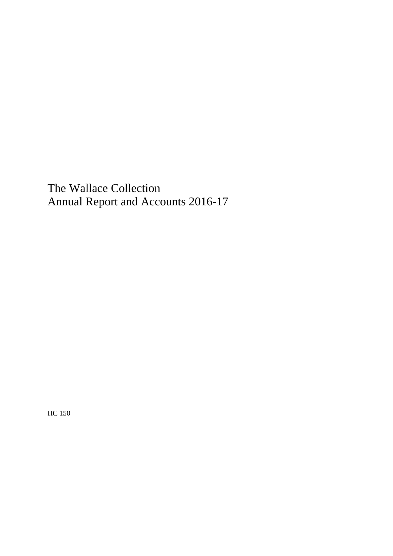HC 150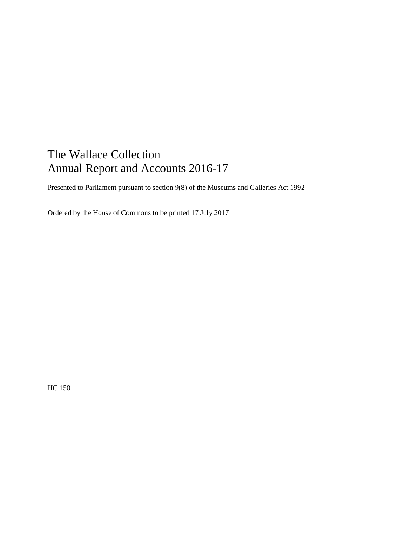Presented to Parliament pursuant to section 9(8) of the Museums and Galleries Act 1992

Ordered by the House of Commons to be printed 17 July 2017

HC 150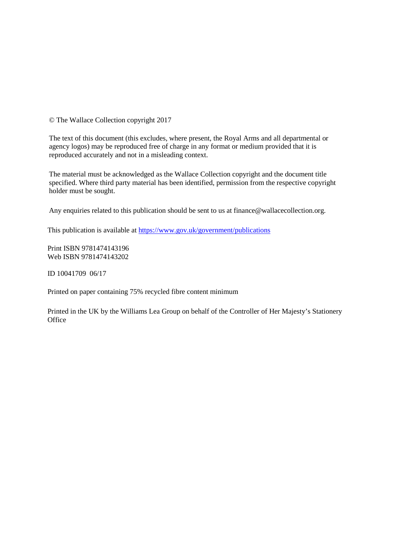© The Wallace Collection copyright 2017

The text of this document (this excludes, where present, the Royal Arms and all departmental or agency logos) may be reproduced free of charge in any format or medium provided that it is reproduced accurately and not in a misleading context.

 The material must be acknowledged as the Wallace Collection copyright and the document title specified. Where third party material has been identified, permission from the respective copyright holder must be sought.

Any enquiries related to this publication should be sent to us at [finance@wallacecollection.org.](mailto:finance@wallacecollection.org)

This publication is available at https://www.gov.uk/government/publications<br>Print ISBN 9781474143196

Web ISBN 9781474143202

ID 10041709 06/17

Printed on paper containing 75% recycled fibre content minimum

Printed in the UK by the Williams Lea Group on behalf of the Controller of Her Majesty's Stationery **Office**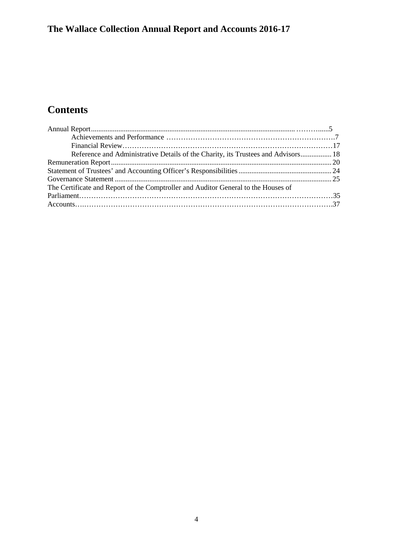# **Contents**

| Reference and Administrative Details of the Charity, its Trustees and Advisors 18  |  |
|------------------------------------------------------------------------------------|--|
|                                                                                    |  |
|                                                                                    |  |
|                                                                                    |  |
| The Certificate and Report of the Comptroller and Auditor General to the Houses of |  |
|                                                                                    |  |
|                                                                                    |  |
|                                                                                    |  |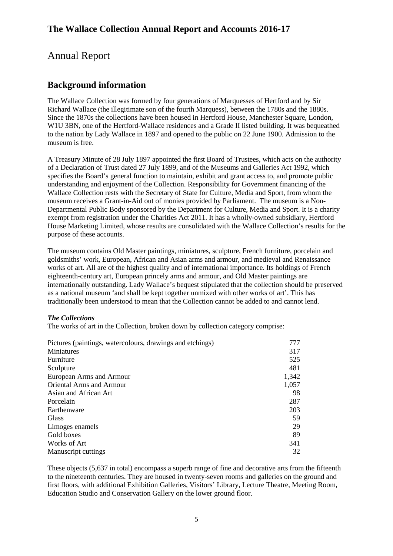# <span id="page-4-0"></span>Annual Report

# **Background information**

 Since the 1870s the collections have been housed in Hertford House, Manchester Square, London, to the nation by Lady Wallace in 1897 and opened to the public on 22 June 1900. Admission to the The Wallace Collection was formed by four generations of Marquesses of Hertford and by Sir Richard Wallace (the illegitimate son of the fourth Marquess), between the 1780s and the 1880s. W1U 3BN, one of the Hertford-Wallace residences and a Grade II listed building. It was bequeathed museum is free.

 A Treasury Minute of 28 July 1897 appointed the first Board of Trustees, which acts on the authority museum receives a Grant-in-Aid out of monies provided by Parliament. The museum is a Nonof a Declaration of Trust dated 27 July 1899, and of the Museums and Galleries Act 1992, which specifies the Board's general function to maintain, exhibit and grant access to, and promote public understanding and enjoyment of the Collection. Responsibility for Government financing of the Wallace Collection rests with the Secretary of State for Culture, Media and Sport, from whom the Departmental Public Body sponsored by the Department for Culture, Media and Sport. It is a charity exempt from registration under the Charities Act 2011. It has a wholly-owned subsidiary, Hertford House Marketing Limited, whose results are consolidated with the Wallace Collection's results for the purpose of these accounts.

 works of art. All are of the highest quality and of international importance. Its holdings of French The museum contains Old Master paintings, miniatures, sculpture, French furniture, porcelain and goldsmiths' work, European, African and Asian arms and armour, and medieval and Renaissance eighteenth-century art, European princely arms and armour, and Old Master paintings are internationally outstanding. Lady Wallace's bequest stipulated that the collection should be preserved as a national museum 'and shall be kept together unmixed with other works of art'. This has traditionally been understood to mean that the Collection cannot be added to and cannot lend.

## *The Collections*

The works of art in the Collection, broken down by collection category comprise:

| Pictures (paintings, watercolours, drawings and etchings) | 777   |
|-----------------------------------------------------------|-------|
| Miniatures                                                | 317   |
| Furniture                                                 | 525   |
| Sculpture                                                 | 481   |
| European Arms and Armour                                  | 1,342 |
| <b>Oriental Arms and Armour</b>                           | 1,057 |
| Asian and African Art                                     | 98    |
| Porcelain                                                 | 287   |
| Earthenware                                               | 203   |
| <b>Glass</b>                                              | 59    |
| Limoges enamels                                           | 29    |
| Gold boxes                                                | 89    |
| Works of Art                                              | 341   |
| Manuscript cuttings                                       | 32    |

These objects (5,637 in total) encompass a superb range of fine and decorative arts from the fifteenth to the nineteenth centuries. They are housed in twenty-seven rooms and galleries on the ground and first floors, with additional Exhibition Galleries, Visitors' Library, Lecture Theatre, Meeting Room, Education Studio and Conservation Gallery on the lower ground floor.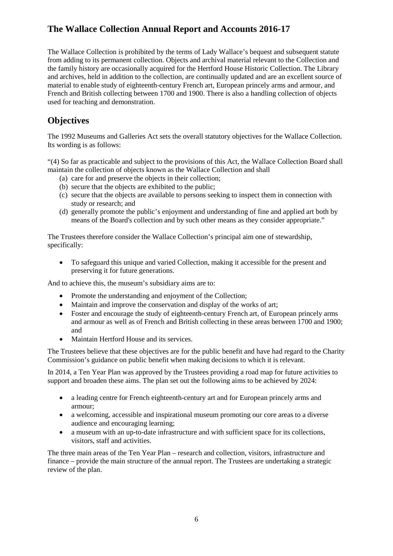The Wallace Collection is prohibited by the terms of Lady Wallace's bequest and subsequent statute from adding to its permanent collection. Objects and archival material relevant to the Collection and the family history are occasionally acquired for the Hertford House Historic Collection. The Library and archives, held in addition to the collection, are continually updated and are an excellent source of French and British collecting between 1700 and 1900. There is also a handling collection of objects material to enable study of eighteenth-century French art, European princely arms and armour, and used for teaching and demonstration.

# **Objectives**

The 1992 Museums and Galleries Act sets the overall statutory objectives for the Wallace Collection. Its wording is as follows:

"(4) So far as practicable and subject to the provisions of this Act, the Wallace Collection Board shall maintain the collection of objects known as the Wallace Collection and shall

- (a) care for and preserve the objects in their collection;
- (b) secure that the objects are exhibited to the public;
- (c) secure that the objects are available to persons seeking to inspect them in connection with study or research; and
- (d) generally promote the public's enjoyment and understanding of fine and applied art both by means of the Board's collection and by such other means as they consider appropriate."

 The Trustees therefore consider the Wallace Collection's principal aim one of stewardship, specifically:

 • To safeguard this unique and varied Collection, making it accessible for the present and preserving it for future generations.

And to achieve this, the museum's subsidiary aims are to:

- Promote the understanding and enjoyment of the Collection;
- Maintain and improve the conservation and display of the works of art;
- Foster and encourage the study of eighteenth-century French art, of European princely arms and armour as well as of French and British collecting in these areas between 1700 and 1900; and
- Maintain Hertford House and its services.

 The Trustees believe that these objectives are for the public benefit and have had regard to the Charity Commission's guidance on public benefit when making decisions to which it is relevant.

In 2014, a Ten Year Plan was approved by the Trustees providing a road map for future activities to support and broaden these aims. The plan set out the following aims to be achieved by 2024:

- a leading centre for French eighteenth-century art and for European princely arms and armour;
- a welcoming, accessible and inspirational museum promoting our core areas to a diverse audience and encouraging learning;
- a museum with an up-to-date infrastructure and with sufficient space for its collections, visitors, staff and activities.

 finance – provide the main structure of the annual report. The Trustees are undertaking a strategic review of the plan. The three main areas of the Ten Year Plan – research and collection, visitors, infrastructure and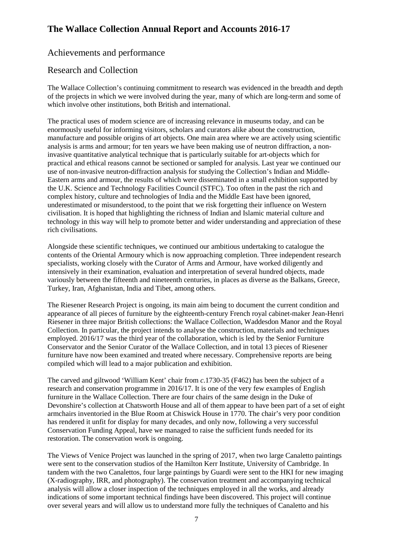# Achievements and performance

# Research and Collection

 of the projects in which we were involved during the year, many of which are long-term and some of The Wallace Collection's continuing commitment to research was evidenced in the breadth and depth which involve other institutions, both British and international.

 enormously useful for informing visitors, scholars and curators alike about the construction, invasive quantitative analytical technique that is particularly suitable for art-objects which for practical and ethical reasons cannot be sectioned or sampled for analysis. Last year we continued our the U.K. Science and Technology Facilities Council (STFC). Too often in the past the rich and underestimated or misunderstood, to the point that we risk forgetting their influence on Western technology in this way will help to promote better and wider understanding and appreciation of these The practical uses of modern science are of increasing relevance in museums today, and can be manufacture and possible origins of art objects. One main area where we are actively using scientific analysis is arms and armour; for ten years we have been making use of neutron diffraction, a nonuse of non-invasive neutron-diffraction analysis for studying the Collection's Indian and Middle-Eastern arms and armour, the results of which were disseminated in a small exhibition supported by complex history, culture and technologies of India and the Middle East have been ignored, civilisation. It is hoped that highlighting the richness of Indian and Islamic material culture and rich civilisations.

 contents of the Oriental Armoury which is now approaching completion. Three independent research Alongside these scientific techniques, we continued our ambitious undertaking to catalogue the specialists, working closely with the Curator of Arms and Armour, have worked diligently and intensively in their examination, evaluation and interpretation of several hundred objects, made variously between the fifteenth and nineteenth centuries, in places as diverse as the Balkans, Greece, Turkey, Iran, Afghanistan, India and Tibet, among others.

 Collection. In particular, the project intends to analyse the construction, materials and techniques employed. 2016/17 was the third year of the collaboration, which is led by the Senior Furniture The Riesener Research Project is ongoing, its main aim being to document the current condition and appearance of all pieces of furniture by the eighteenth-century French royal cabinet-maker Jean-Henri Riesener in three major British collections: the Wallace Collection, Waddesdon Manor and the Royal Conservator and the Senior Curator of the Wallace Collection, and in total 13 pieces of Riesener furniture have now been examined and treated where necessary. Comprehensive reports are being compiled which will lead to a major publication and exhibition.

 research and conservation programme in 2016/17. It is one of the very few examples of English furniture in the Wallace Collection. There are four chairs of the same design in the Duke of Devonshire's collection at Chatsworth House and all of them appear to have been part of a set of eight has rendered it unfit for display for many decades, and only now, following a very successful The carved and giltwood 'William Kent' chair from *c*.1730-35 (F462) has been the subject of a armchairs inventoried in the Blue Room at Chiswick House in 1770. The chair's very poor condition Conservation Funding Appeal, have we managed to raise the sufficient funds needed for its restoration. The conservation work is ongoing.

 were sent to the conservation studios of the Hamilton Kerr Institute, University of Cambridge. In indications of some important technical findings have been discovered. This project will continue over several years and will allow us to understand more fully the techniques of Canaletto and his The Views of Venice Project was launched in the spring of 2017, when two large Canaletto paintings tandem with the two Canalettos, four large paintings by Guardi were sent to the HKI for new imaging (X-radiography, IRR, and photography). The conservation treatment and accompanying technical analysis will allow a closer inspection of the techniques employed in all the works, and already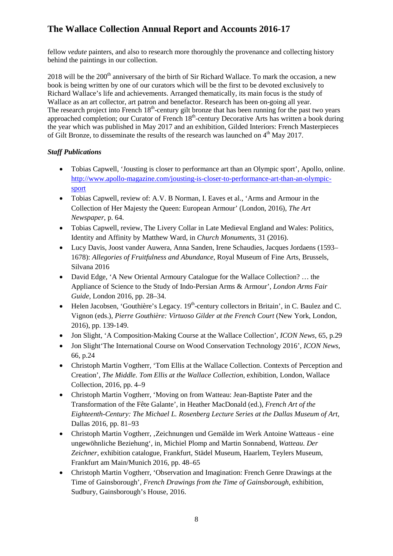fellow *vedute* painters, and also to research more thoroughly the provenance and collecting history behind the paintings in our collection.

2018 will be the  $200<sup>th</sup>$  anniversary of the birth of Sir Richard Wallace. To mark the occasion, a new book is being written by one of our curators which will be the first to be devoted exclusively to Richard Wallace's life and achievements. Arranged thematically, its main focus is the study of Wallace as an art collector, art patron and benefactor. Research has been on-going all year. The research project into French  $18<sup>th</sup>$ -century gilt bronze that has been running for the past two years of Gilt Bronze, to disseminate the results of the research was launched on  $4<sup>th</sup>$  May 2017. approached completion; our Curator of French 18<sup>th</sup>-century Decorative Arts has written a book during the year which was published in May 2017 and an exhibition, Gilded Interiors: French Masterpieces

# *Staff Publications*

- • Tobias Capwell, 'Jousting is closer to performance art than an Olympic sport', Apollo, online. [http://www.apollo-magazine.com/jousting-is-closer-to-performance-art-than-an-olympic](http://www.apollo-magazine.com/jousting-is-closer-to-performance-art-than-an-olympic-sport)[sport](http://www.apollo-magazine.com/jousting-is-closer-to-performance-art-than-an-olympic-sport)
- Tobias Capwell, review of: A.V. B Norman, I. Eaves et al., 'Arms and Armour in the Collection of Her Majesty the Queen: European Armour' (London, 2016), *The Art Newspaper*, p. 64.
- • Tobias Capwell, review, The Livery Collar in Late Medieval England and Wales: Politics, Identity and Affinity by Matthew Ward, in *Church Monuments*, 31 (2016).
- Lucy Davis, Joost vander Auwera, Anna Sanden, Irene Schaudies, Jacques Jordaens (1593– 1678): *Allegories of Fruitfulness and Abundance*, Royal Museum of Fine Arts, Brussels, Silvana 2016
- Appliance of Science to the Study of Indo-Persian Arms & Armour', *London Arms Fair*  • David Edge, 'A New Oriental Armoury Catalogue for the Wallace Collection? … the *Guide*, London 2016, pp. 28–34.
- Helen Jacobsen, 'Gouthière's Legacy.  $19<sup>th</sup>$ -century collectors in Britain', in C. Baulez and C. Vignon (eds.), *Pierre Gouthière: Virtuoso Gilder at the French Court* (New York, London, 2016), pp. 139-149.
- Jon Slight, 'A Composition-Making Course at the Wallace Collection', *ICON News*, 65, p.29
- Jon Slight'The International Course on Wood Conservation Technology 2016', *ICON News*, 66, p.24
- • Christoph Martin Vogtherr, 'Tom Ellis at the Wallace Collection. Contexts of Perception and Creation', *The Middle. Tom Ellis at the Wallace Collection*, exhibition, London, Wallace Collection, 2016, pp. 4–9
- Christoph Martin Vogtherr, 'Moving on from Watteau: Jean-Baptiste Pater and the Transformation of the Fête Galante', in Heather MacDonald (ed.), *French Art of the Eighteenth-Century: The Michael L. Rosenberg Lecture Series at the Dallas Museum of Art*, Dallas 2016, pp. 81–93
- Christoph Martin Vogtherr, , Zeichnungen und Gemälde im Werk Antoine Watteaus eine ungewöhnliche Beziehung', in, Michiel Plomp and Martin Sonnabend, *Watteau. Der Zeichner*, exhibition catalogue, Frankfurt, Städel Museum, Haarlem, Teylers Museum, Frankfurt am Main/Munich 2016, pp. 48–65
- Time of Gainsborough', *French Drawings from the Time of Gainsborough*, exhibition, • Christoph Martin Vogtherr, 'Observation and Imagination: French Genre Drawings at the Sudbury, Gainsborough's House, 2016.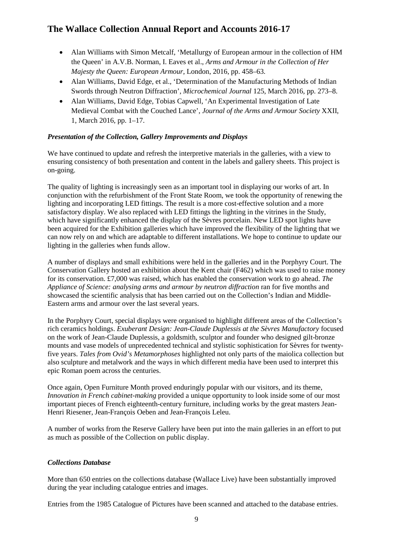- <span id="page-8-0"></span>• Alan Williams with Simon Metcalf, 'Metallurgy of European armour in the collection of HM the Queen' in A.V.B. Norman, I. Eaves et al., *Arms and Armour in the Collection of Her Majesty the Queen: European Armour*, London, 2016, pp. 458–63.
- Alan Williams, David Edge, et al., 'Determination of the Manufacturing Methods of Indian Swords through Neutron Diffraction', *Microchemical Journal* 125, March 2016, pp. 273–8.
- Alan Williams, David Edge, Tobias Capwell, 'An Experimental Investigation of Late Medieval Combat with the Couched Lance', *Journal of the Arms and Armour Society* XXII, 1, March 2016, pp. 1–17.

# *Presentation of the Collection, Gallery Improvements and Displays*

 We have continued to update and refresh the interpretive materials in the galleries, with a view to ensuring consistency of both presentation and content in the labels and gallery sheets. This project is on-going.

 which have significantly enhanced the display of the Sèvres porcelain. New LED spot lights have can now rely on and which are adaptable to different installations. We hope to continue to update our The quality of lighting is increasingly seen as an important tool in displaying our works of art. In conjunction with the refurbishment of the Front State Room, we took the opportunity of renewing the lighting and incorporating LED fittings. The result is a more cost-effective solution and a more satisfactory display. We also replaced with LED fittings the lighting in the vitrines in the Study, been acquired for the Exhibition galleries which have improved the flexibility of the lighting that we lighting in the galleries when funds allow.

 *Appliance of Science: analysing arms and armour by neutron diffraction* ran for five months and A number of displays and small exhibitions were held in the galleries and in the Porphyry Court. The Conservation Gallery hosted an exhibition about the Kent chair (F462) which was used to raise money for its conservation. £7,000 was raised, which has enabled the conservation work to go ahead. *The*  showcased the scientific analysis that has been carried out on the Collection's Indian and Middle-Eastern arms and armour over the last several years.

 In the Porphyry Court, special displays were organised to highlight different areas of the Collection's rich ceramics holdings. *Exuberant Design: Jean-Claude Duplessis at the Sèvres Manufactory* focused on the work of Jean-Claude Duplessis, a goldsmith, sculptor and founder who designed gilt-bronze mounts and vase models of unprecedented technical and stylistic sophistication for Sèvres for twentyfive years. *Tales from Ovid's Metamorphoses* highlighted not only parts of the maiolica collection but also sculpture and metalwork and the ways in which different media have been used to interpret this epic Roman poem across the centuries.

Once again, Open Furniture Month proved enduringly popular with our visitors, and its theme, *Innovation in French cabinet-making* provided a unique opportunity to look inside some of our most important pieces of French eighteenth-century furniture, including works by the great masters Jean-Henri Riesener, Jean-François Oeben and Jean-François Leleu.

 A number of works from the Reserve Gallery have been put into the main galleries in an effort to put as much as possible of the Collection on public display.

## *Collections Database*

 More than 650 entries on the collections database (Wallace Live) have been substantially improved during the year including catalogue entries and images.

Entries from the 1985 Catalogue of Pictures have been scanned and attached to the database entries.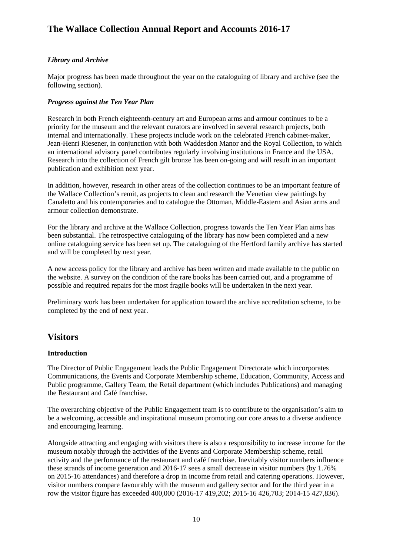## *Library and Archive*

 Major progress has been made throughout the year on the cataloguing of library and archive (see the following section).

## *Progress against the Ten Year Plan*

 priority for the museum and the relevant curators are involved in several research projects, both Research in both French eighteenth-century art and European arms and armour continues to be a internal and internationally. These projects include work on the celebrated French cabinet-maker, Jean-Henri Riesener, in conjunction with both Waddesdon Manor and the Royal Collection, to which an international advisory panel contributes regularly involving institutions in France and the USA. Research into the collection of French gilt bronze has been on-going and will result in an important publication and exhibition next year.

 In addition, however, research in other areas of the collection continues to be an important feature of the Wallace Collection's remit, as projects to clean and research the Venetian view paintings by Canaletto and his contemporaries and to catalogue the Ottoman, Middle-Eastern and Asian arms and armour collection demonstrate.

For the library and archive at the Wallace Collection, progress towards the Ten Year Plan aims has been substantial. The retrospective cataloguing of the library has now been completed and a new online cataloguing service has been set up. The cataloguing of the Hertford family archive has started and will be completed by next year.

possible and required repairs for the most fragile books will be undertaken in the next year. A new access policy for the library and archive has been written and made available to the public on the website. A survey on the condition of the rare books has been carried out, and a programme of

Preliminary work has been undertaken for application toward the archive accreditation scheme, to be completed by the end of next year.

# **Visitors**

## **Introduction**

The Director of Public Engagement leads the Public Engagement Directorate which incorporates Communications, the Events and Corporate Membership scheme, Education, Community, Access and Public programme, Gallery Team, the Retail department (which includes Publications) and managing the Restaurant and Café franchise.

 The overarching objective of the Public Engagement team is to contribute to the organisation's aim to be a welcoming, accessible and inspirational museum promoting our core areas to a diverse audience and encouraging learning.

 visitor numbers compare favourably with the museum and gallery sector and for the third year in a row the visitor figure has exceeded 400,000 (2016-17 419,202; 2015-16 426,703; 2014-15 427,836). Alongside attracting and engaging with visitors there is also a responsibility to increase income for the museum notably through the activities of the Events and Corporate Membership scheme, retail activity and the performance of the restaurant and café franchise. Inevitably visitor numbers influence these strands of income generation and 2016-17 sees a small decrease in visitor numbers (by 1.76% on 2015-16 attendances) and therefore a drop in income from retail and catering operations. However,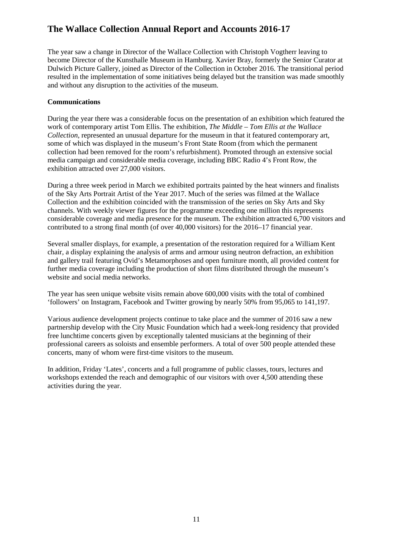The year saw a change in Director of the Wallace Collection with Christoph Vogtherr leaving to become Director of the Kunsthalle Museum in Hamburg. Xavier Bray, formerly the Senior Curator at Dulwich Picture Gallery, joined as Director of the Collection in October 2016. The transitional period resulted in the implementation of some initiatives being delayed but the transition was made smoothly and without any disruption to the activities of the museum.

## **Communications**

 During the year there was a considerable focus on the presentation of an exhibition which featured the  work of contemporary artist Tom Ellis. The exhibition, *The Middle – Tom Ellis at the Wallace Collection*, represented an unusual departure for the museum in that it featured contemporary art, some of which was displayed in the museum's Front State Room (from which the permanent collection had been removed for the room's refurbishment). Promoted through an extensive social media campaign and considerable media coverage, including BBC Radio 4's Front Row, the exhibition attracted over 27,000 visitors.

 of the Sky Arts Portrait Artist of the Year 2017. Much of the series was filmed at the Wallace Collection and the exhibition coincided with the transmission of the series on Sky Arts and Sky contributed to a strong final month (of over 40,000 visitors) for the 2016–17 financial year. During a three week period in March we exhibited portraits painted by the heat winners and finalists channels. With weekly viewer figures for the programme exceeding one million this represents considerable coverage and media presence for the museum. The exhibition attracted 6,700 visitors and

 Several smaller displays, for example, a presentation of the restoration required for a William Kent chair, a display explaining the analysis of arms and armour using neutron defraction, an exhibition and gallery trail featuring Ovid's Metamorphoses and open furniture month, all provided content for further media coverage including the production of short films distributed through the museum's website and social media networks.

The year has seen unique website visits remain above 600,000 visits with the total of combined 'followers' on Instagram, Facebook and Twitter growing by nearly 50% from 95,065 to 141,197.

 Various audience development projects continue to take place and the summer of 2016 saw a new partnership develop with the City Music Foundation which had a week-long residency that provided free lunchtime concerts given by exceptionally talented musicians at the beginning of their professional careers as soloists and ensemble performers. A total of over 500 people attended these concerts, many of whom were first-time visitors to the museum.

In addition, Friday 'Lates', concerts and a full programme of public classes, tours, lectures and workshops extended the reach and demographic of our visitors with over 4,500 attending these activities during the year.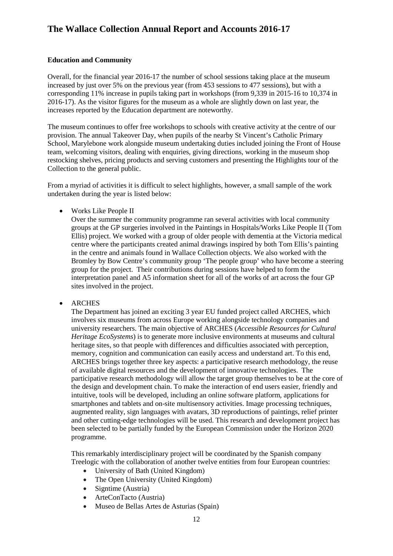## **Education and Community**

 Overall, for the financial year 2016-17 the number of school sessions taking place at the museum 2016-17). As the visitor figures for the museum as a whole are slightly down on last year, the increased by just over 5% on the previous year (from 453 sessions to 477 sessions), but with a corresponding 11% increase in pupils taking part in workshops (from 9,339 in 2015-16 to 10,374 in increases reported by the Education department are noteworthy.

 provision. The annual Takeover Day, when pupils of the nearby St Vincent's Catholic Primary The museum continues to offer free workshops to schools with creative activity at the centre of our School, Marylebone work alongside museum undertaking duties included joining the Front of House team, welcoming visitors, dealing with enquiries, giving directions, working in the museum shop restocking shelves, pricing products and serving customers and presenting the Highlights tour of the Collection to the general public.

From a myriad of activities it is difficult to select highlights, however, a small sample of the work undertaken during the year is listed below:

• Works Like People II

 Ellis) project. We worked with a group of older people with dementia at the Victoria medical centre where the participants created animal drawings inspired by both Tom Ellis's painting in the centre and animals found in Wallace Collection objects. We also worked with the group for the project. Their contributions during sessions have helped to form the interpretation panel and A5 information sheet for all of the works of art across the four GP Over the summer the community programme ran several activities with local community groups at the GP surgeries involved in the Paintings in Hospitals/Works Like People II (Tom Bromley by Bow Centre's community group 'The people group' who have become a steering sites involved in the project.

• ARCHES

 *Heritage EcoSystems*) is to generate more inclusive environments at museums and cultural The Department has joined an exciting 3 year EU funded project called ARCHES, which involves six museums from across Europe working alongside technology companies and university researchers. The main objective of ARCHES (*Accessible Resources for Cultural*  heritage sites, so that people with differences and difficulties associated with perception, memory, cognition and communication can easily access and understand art. To this end, ARCHES brings together three key aspects: a participative research methodology, the reuse of available digital resources and the development of innovative technologies. The participative research methodology will allow the target group themselves to be at the core of the design and development chain. To make the interaction of end users easier, friendly and intuitive, tools will be developed, including an online software platform, applications for smartphones and tablets and on-site multisensory activities. Image processing techniques, augmented reality, sign languages with avatars, 3D reproductions of paintings, relief printer and other cutting-edge technologies will be used. This research and development project has been selected to be partially funded by the European Commission under the Horizon 2020 programme.

This remarkably interdisciplinary project will be coordinated by the Spanish company Treelogic with the collaboration of another twelve entities from four European countries:

- University of Bath (United Kingdom)
- The Open University (United Kingdom)
- Signtime (Austria)
- ArteConTacto (Austria)
- Museo de Bellas Artes de Asturias (Spain)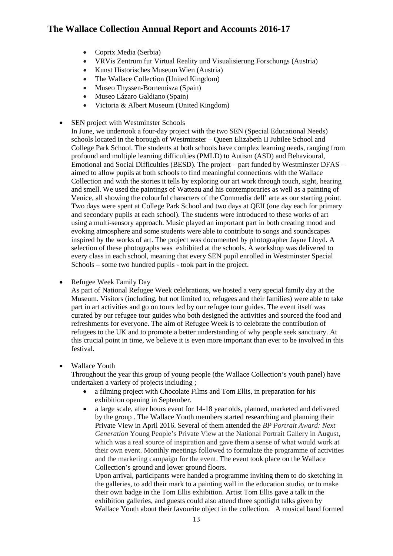- Coprix Media (Serbia)
- VRVis Zentrum fur Virtual Reality und Visualisierung Forschungs (Austria)
- Kunst Historisches Museum Wien (Austria)
- The Wallace Collection (United Kingdom)
- Museo Thyssen-Bornemisza (Spain)
- Museo Lázaro Galdiano (Spain)
- Victoria & Albert Museum (United Kingdom)
- SEN project with Westminster Schools

 In June, we undertook a four-day project with the two SEN (Special Educational Needs) schools located in the borough of Westminster – Queen Elizabeth II Jubilee School and profound and multiple learning difficulties (PMLD) to Autism (ASD) and Behavioural, aimed to allow pupils at both schools to find meaningful connections with the Wallace Collection and with the stories it tells by exploring our art work through touch, sight, hearing and smell. We used the paintings of Watteau and his contemporaries as well as a painting of selection of these photographs was exhibited at the schools. A workshop was delivered to every class in each school, meaning that every SEN pupil enrolled in Westminster Special Schools – some two hundred pupils - took part in the project. College Park School. The students at both schools have complex learning needs, ranging from Emotional and Social Difficulties (BESD). The project – part funded by Westminster DFAS – Venice, all showing the colourful characters of the Commedia dell' arte as our starting point. Two days were spent at College Park School and two days at QEII (one day each for primary and secondary pupils at each school). The students were introduced to these works of art using a multi-sensory approach. Music played an important part in both creating mood and evoking atmosphere and some students were able to contribute to songs and soundscapes inspired by the works of art. The project was documented by photographer Jayne Lloyd. A

• Refugee Week Family Day

 Museum. Visitors (including, but not limited to, refugees and their families) were able to take part in art activities and go on tours led by our refugee tour guides. The event itself was As part of National Refugee Week celebrations, we hosted a very special family day at the curated by our refugee tour guides who both designed the activities and sourced the food and refreshments for everyone. The aim of Refugee Week is to celebrate the contribution of refugees to the UK and to promote a better understanding of why people seek sanctuary. At this crucial point in time, we believe it is even more important than ever to be involved in this festival.

## • Wallace Youth

 undertaken a variety of projects including ; Throughout the year this group of young people (the Wallace Collection's youth panel) have

- a filming project with Chocolate Films and Tom Ellis, in preparation for his exhibition opening in September.
- • a large scale, after hours event for 14-18 year olds, planned, marketed and delivered by the group . The Wallace Youth members started researching and planning their *Generation* Young People's Private View at the National Portrait Gallery in August, which was a real source of inspiration and gave them a sense of what would work at their own event. Monthly meetings followed to formulate the programme of activities Private View in April 2016. Several of them attended the *BP Portrait Award: Next*  and the marketing campaign for the event. The event took place on the Wallace Collection's ground and lower ground floors.

 their own badge in the Tom Ellis exhibition. Artist Tom Ellis gave a talk in the exhibition galleries, and guests could also attend three spotlight talks given by Wallace Youth about their favourite object in the collection. A musical band formed Upon arrival, participants were handed a programme inviting them to do sketching in the galleries, to add their mark to a painting wall in the education studio, or to make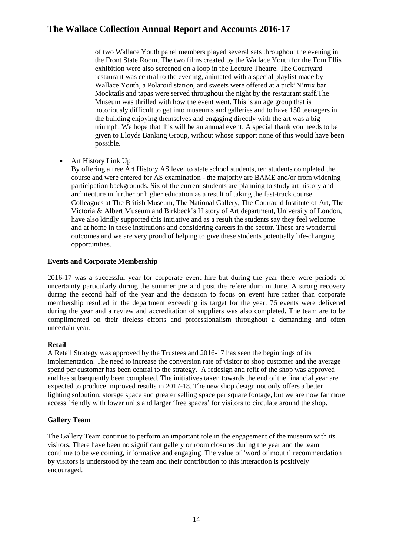of two Wallace Youth panel members played several sets throughout the evening in the Front State Room. The two films created by the Wallace Youth for the Tom Ellis Wallace Youth, a Polaroid station, and sweets were offered at a pick'N'mix bar. Mocktails and tapas were served throughout the night by the restaurant staff.The the building enjoying themselves and engaging directly with the art was a big triumph. We hope that this will be an annual event. A special thank you needs to be exhibition were also screened on a loop in the Lecture Theatre. The Courtyard restaurant was central to the evening, animated with a special playlist made by Museum was thrilled with how the event went. This is an age group that is notoriously difficult to get into museums and galleries and to have 150 teenagers in given to Lloyds Banking Group, without whose support none of this would have been possible.

• Art History Link Up

 By offering a free Art History AS level to state school students, ten students completed the Colleagues at The British Museum, The National Gallery, The Courtauld Institute of Art, The course and were entered for AS examination - the majority are BAME and/or from widening participation backgrounds. Six of the current students are planning to study art history and architecture in further or higher education as a result of taking the fast-track course. Victoria & Albert Museum and Birkbeck's History of Art department, University of London, have also kindly supported this initiative and as a result the students say they feel welcome and at home in these institutions and considering careers in the sector. These are wonderful outcomes and we are very proud of helping to give these students potentially life-changing opportunities.

## **Events and Corporate Membership**

 during the second half of the year and the decision to focus on event hire rather than corporate uncertain year. 2016-17 was a successful year for corporate event hire but during the year there were periods of uncertainty particularly during the summer pre and post the referendum in June. A strong recovery membership resulted in the department exceeding its target for the year. 76 events were delivered during the year and a review and accreditation of suppliers was also completed. The team are to be complimented on their tireless efforts and professionalism throughout a demanding and often

## **Retail**

 spend per customer has been central to the strategy. A redesign and refit of the shop was approved expected to produce improved results in 2017-18. The new shop design not only offers a better A Retail Strategy was approved by the Trustees and 2016-17 has seen the beginnings of its implementation. The need to increase the conversion rate of visitor to shop customer and the average and has subsequently been completed. The initiatives taken towards the end of the financial year are lighting soloution, storage space and greater selling space per square footage, but we are now far more access friendly with lower units and larger 'free spaces' for visitors to circulate around the shop.

## **Gallery Team**

The Gallery Team continue to perform an important role in the engagement of the museum with its visitors. There have been no significant gallery or room closures during the year and the team continue to be welcoming, informative and engaging. The value of 'word of mouth' recommendation by visitors is understood by the team and their contribution to this interaction is positively encouraged.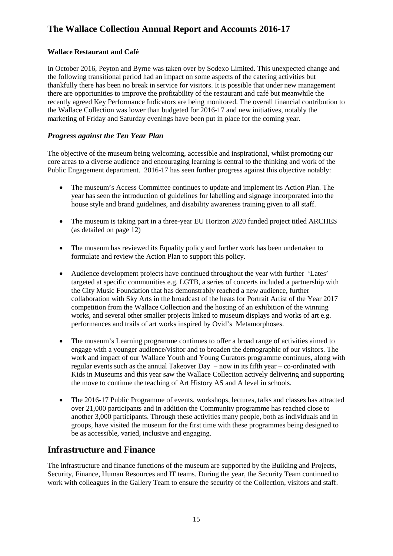# **Wallace Restaurant and Café**

 the following transitional period had an impact on some aspects of the catering activities but there are opportunities to improve the profitability of the restaurant and café but meanwhile the recently agreed Key Performance Indicators are being monitored. The overall financial contribution to marketing of Friday and Saturday evenings have been put in place for the coming year. In October 2016, Peyton and Byrne was taken over by Sodexo Limited. This unexpected change and thankfully there has been no break in service for visitors. It is possible that under new management the Wallace Collection was lower than budgeted for 2016-17 and new initiatives, notably the

# *Progress against the Ten Year Plan*

The objective of the museum being welcoming, accessible and inspirational, whilst promoting our core areas to a diverse audience and encouraging learning is central to the thinking and work of the Public Engagement department. 2016-17 has seen further progress against this objective notably:

- year has seen the introduction of guidelines for labelling and signage incorporated into the • The museum's Access Committee continues to update and implement its Action Plan. The house style and brand guidelines, and disability awareness training given to all staff.
- The museum is taking part in a three-year EU Horizon 2020 funded project titled ARCHES (as detailed on page 12)
- formulate and review the Action Plan to support this policy. • The museum has reviewed its Equality policy and further work has been undertaken to
- • Audience development projects have continued throughout the year with further 'Lates' targeted at specific communities e.g. LGTB, a series of concerts included a partnership with the City Music Foundation that has demonstrably reached a new audience, further collaboration with Sky Arts in the broadcast of the heats for Portrait Artist of the Year 2017 competition from the Wallace Collection and the hosting of an exhibition of the winning works, and several other smaller projects linked to museum displays and works of art e.g. performances and trails of art works inspired by Ovid's Metamorphoses.
- regular events such as the annual Takeover Day now in its fifth year co-ordinated with the move to continue the teaching of Art History AS and A level in schools. • The museum's Learning programme continues to offer a broad range of activities aimed to engage with a younger audience/visitor and to broaden the demographic of our visitors. The work and impact of our Wallace Youth and Young Curators programme continues, along with Kids in Museums and this year saw the Wallace Collection actively delivering and supporting
- another 3,000 participants. Through these activities many people, both as individuals and in groups, have visited the museum for the first time with these programmes being designed to • The 2016-17 Public Programme of events, workshops, lectures, talks and classes has attracted over 21,000 participants and in addition the Community programme has reached close to be as accessible, varied, inclusive and engaging.

# **Infrastructure and Finance**

 The infrastructure and finance functions of the museum are supported by the Building and Projects, Security, Finance, Human Resources and IT teams. During the year, the Security Team continued to work with colleagues in the Gallery Team to ensure the security of the Collection, visitors and staff.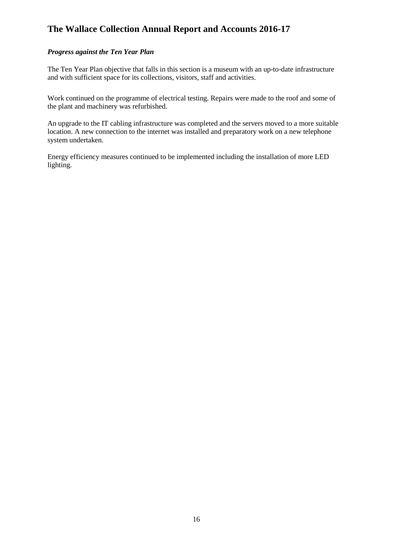## *Progress against the Ten Year Plan*

 The Ten Year Plan objective that falls in this section is a museum with an up-to-date infrastructure and with sufficient space for its collections, visitors, staff and activities.

 Work continued on the programme of electrical testing. Repairs were made to the roof and some of the plant and machinery was refurbished.

An upgrade to the IT cabling infrastructure was completed and the servers moved to a more suitable location. A new connection to the internet was installed and preparatory work on a new telephone system undertaken.

Energy efficiency measures continued to be implemented including the installation of more LED lighting.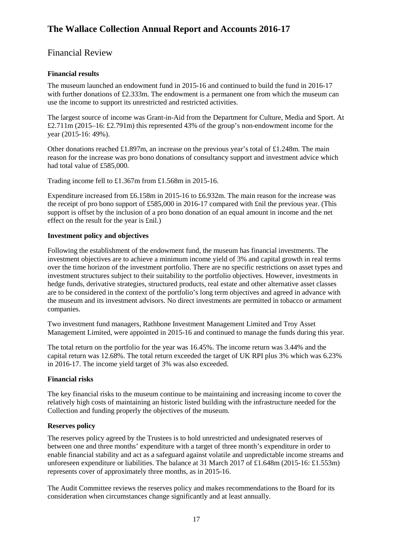# <span id="page-16-1"></span><span id="page-16-0"></span>Financial Review

# **Financial results**

with further donations of £2.333m. The endowment is a permanent one from which the museum can The museum launched an endowment fund in 2015-16 and continued to build the fund in 2016-17 use the income to support its unrestricted and restricted activities.

 The largest source of income was Grant-in-Aid from the Department for Culture, Media and Sport. At £2.711m (2015–16: £2.791m) this represented 43% of the group's non-endowment income for the year (2015-16: 49%).

 Other donations reached £1.897m, an increase on the previous year's total of £1.248m. The main reason for the increase was pro bono donations of consultancy support and investment advice which had total value of £585,000.

Trading income fell to £1.367m from £1.568m in 2015-16.

 Expenditure increased from £6.158m in 2015-16 to £6.932m. The main reason for the increase was the receipt of pro bono support of £585,000 in 2016-17 compared with £nil the previous year. (This support is offset by the inclusion of a pro bono donation of an equal amount in income and the net effect on the result for the year is £nil.)

## **Investment policy and objectives**

 Following the establishment of the endowment fund, the museum has financial investments. The investment objectives are to achieve a minimum income yield of 3% and capital growth in real terms the museum and its investment advisors. No direct investments are permitted in tobacco or armament over the time horizon of the investment portfolio. There are no specific restrictions on asset types and investment structures subject to their suitability to the portfolio objectives. However, investments in hedge funds, derivative strategies, structured products, real estate and other alternative asset classes are to be considered in the context of the portfolio's long term objectives and agreed in advance with companies.

 Two investment fund managers, Rathbone Investment Management Limited and Troy Asset Management Limited, were appointed in 2015-16 and continued to manage the funds during this year.

The total return on the portfolio for the year was 16.45%. The income return was 3.44% and the capital return was 12.68%. The total return exceeded the target of UK RPI plus 3% which was 6.23% in 2016-17. The income yield target of 3% was also exceeded.

## **Financial risks**

 The key financial risks to the museum continue to be maintaining and increasing income to cover the Collection and funding properly the objectives of the museum. relatively high costs of maintaining an historic listed building with the infrastructure needed for the

## **Reserves policy**

 between one and three months' expenditure with a target of three month's expenditure in order to enable financial stability and act as a safeguard against volatile and unpredictable income streams and represents cover of approximately three months, as in 2015-16. The reserves policy agreed by the Trustees is to hold unrestricted and undesignated reserves of unforeseen expenditure or liabilities. The balance at 31 March 2017 of £1.648m (2015-16: £1.553m)

 The Audit Committee reviews the reserves policy and makes recommendations to the Board for its consideration when circumstances change significantly and at least annually.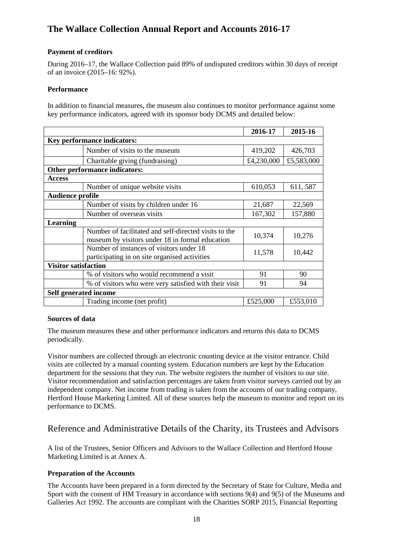# **Payment of creditors**

 During 2016–17, the Wallace Collection paid 89% of undisputed creditors within 30 days of receipt of an invoice (2015–16: 92%).

## **Performance**

 In addition to financial measures, the museum also continues to monitor performance against some key performance indicators, agreed with its sponsor body DCMS and detailed below:

|                              |                                                                                                          | 2016-17    | 2015-16    |
|------------------------------|----------------------------------------------------------------------------------------------------------|------------|------------|
|                              | <b>Key performance indicators:</b>                                                                       |            |            |
|                              | Number of visits to the museum                                                                           | 419,202    | 426,703    |
|                              | Charitable giving (fundraising)                                                                          | £4,230,000 | £5,583,000 |
|                              | Other performance indicators:                                                                            |            |            |
| <b>Access</b>                |                                                                                                          |            |            |
|                              | Number of unique website visits                                                                          | 610,053    | 611, 587   |
| <b>Audience profile</b>      |                                                                                                          |            |            |
|                              | Number of visits by children under 16                                                                    | 21,687     | 22,569     |
|                              | Number of overseas visits                                                                                | 167,302    | 157,880    |
| Learning                     |                                                                                                          |            |            |
|                              | Number of facilitated and self-directed visits to the<br>museum by visitors under 18 in formal education | 10,374     | 10,276     |
|                              | Number of instances of visitors under 18<br>participating in on site organised activities                | 11,578     | 10,442     |
| <b>Visitor satisfaction</b>  |                                                                                                          |            |            |
|                              | % of visitors who would recommend a visit                                                                | 91         | 90         |
|                              | % of visitors who were very satisfied with their visit                                                   | 91         | 94         |
| <b>Self generated income</b> |                                                                                                          |            |            |
|                              | Trading income (net profit)                                                                              | £525,000   | £553,010   |

## **Sources of data**

periodically. The museum measures these and other performance indicators and returns this data to DCMS

 department for the sessions that they run. The website registers the number of visitors to our site. Visitor numbers are collected through an electronic counting device at the visitor entrance. Child visits are collected by a manual counting system. Education numbers are kept by the Education Visitor recommendation and satisfaction percentages are taken from visitor surveys carried out by an independent company. Net income from trading is taken from the accounts of our trading company, Hertford House Marketing Limited. All of these sources help the museum to monitor and report on its performance to DCMS.

# <span id="page-17-0"></span>Reference and Administrative Details of the Charity, its Trustees and Advisors

A list of the Trustees, Senior Officers and Advisors to the Wallace Collection and Hertford House Marketing Limited is at Annex A.

## **Preparation of the Accounts**

 Sport with the consent of HM Treasury in accordance with sections 9(4) and 9(5) of the Museums and The Accounts have been prepared in a form directed by the Secretary of State for Culture, Media and Galleries Act 1992. The accounts are compliant with the Charities SORP 2015, Financial Reporting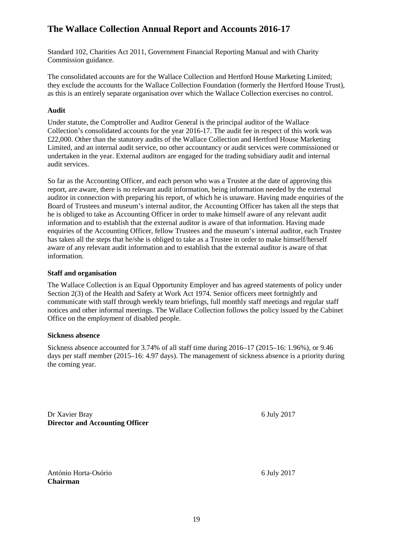Standard 102, Charities Act 2011, Government Financial Reporting Manual and with Charity Commission guidance.

The consolidated accounts are for the Wallace Collection and Hertford House Marketing Limited; they exclude the accounts for the Wallace Collection Foundation (formerly the Hertford House Trust), as this is an entirely separate organisation over which the Wallace Collection exercises no control.

# **Audit**

 Collection's consolidated accounts for the year 2016-17. The audit fee in respect of this work was £22,000. Other than the statutory audits of the Wallace Collection and Hertford House Marketing Limited, and an internal audit service, no other accountancy or audit services were commissioned or Under statute, the Comptroller and Auditor General is the principal auditor of the Wallace undertaken in the year. External auditors are engaged for the trading subsidiary audit and internal audit services.

 he is obliged to take as Accounting Officer in order to make himself aware of any relevant audit information and to establish that the external auditor is aware of that information. Having made aware of any relevant audit information and to establish that the external auditor is aware of that So far as the Accounting Officer, and each person who was a Trustee at the date of approving this report, are aware, there is no relevant audit information, being information needed by the external auditor in connection with preparing his report, of which he is unaware. Having made enquiries of the Board of Trustees and museum's internal auditor, the Accounting Officer has taken all the steps that enquiries of the Accounting Officer, fellow Trustees and the museum's internal auditor, each Trustee has taken all the steps that he/she is obliged to take as a Trustee in order to make himself/herself information.

## **Staff and organisation**

 Section 2(3) of the Health and Safety at Work Act 1974. Senior officers meet fortnightly and communicate with staff through weekly team briefings, full monthly staff meetings and regular staff The Wallace Collection is an Equal Opportunity Employer and has agreed statements of policy under notices and other informal meetings. The Wallace Collection follows the policy issued by the Cabinet Office on the employment of disabled people.

## **Sickness absence**

 Sickness absence accounted for 3.74% of all staff time during 2016–17 (2015–16: 1.96%), or 9.46 days per staff member (2015–16: 4.97 days). The management of sickness absence is a priority during the coming year.

 Dr Xavier Bray 6 July 2017 **Director and Accounting Officer** 

 António Horta-Osório 6 July 2017 **Chairman**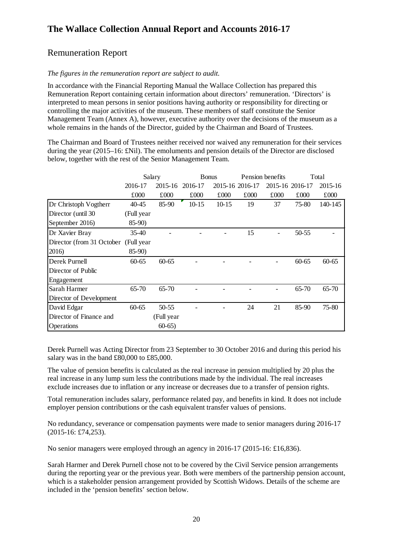# <span id="page-19-0"></span>Remuneration Report

## *The figures in the remuneration report are subject to audit.*

 Management Team (Annex A), however, executive authority over the decisions of the museum as a whole remains in the hands of the Director, guided by the Chairman and Board of Trustees. In accordance with the Financial Reporting Manual the Wallace Collection has prepared this Remuneration Report containing certain information about directors' remuneration. 'Directors' is interpreted to mean persons in senior positions having authority or responsibility for directing or controlling the major activities of the museum. These members of staff constitute the Senior

 during the year (2015–16: £Nil). The emoluments and pension details of the Director are disclosed below, together with the rest of the Senior Management Team. The Chairman and Board of Trustees neither received nor waived any remuneration for their services

|                           | Salary     |            | <b>Bonus</b> |                 | Pension benefits |                 | Total     |           |
|---------------------------|------------|------------|--------------|-----------------|------------------|-----------------|-----------|-----------|
|                           | 2016-17    | 2015-16    | 2016-17      | 2015-16 2016-17 |                  | 2015-16 2016-17 |           | 2015-16   |
|                           | £000       | £000       | £000         | £000            | £000             | £000            | £000      | £000      |
| Dr Christoph Vogtherr     | 40-45      | 85-90      | $10 - 15$    | $10-15$         | 19               | 37              | 75-80     | 140-145   |
| Director (until 30)       | (Full year |            |              |                 |                  |                 |           |           |
| September 2016)           | $85-90$    |            |              |                 |                  |                 |           |           |
| Dr Xavier Bray            | $35-40$    |            |              |                 | 15               |                 | 50-55     |           |
| Director (from 31 October | (Full year |            |              |                 |                  |                 |           |           |
| 2016)                     | $85-90$    |            |              |                 |                  |                 |           |           |
| Derek Purnell             | $60 - 65$  | $60 - 65$  |              |                 |                  |                 | $60 - 65$ | $60 - 65$ |
| Director of Public        |            |            |              |                 |                  |                 |           |           |
| Engagement                |            |            |              |                 |                  |                 |           |           |
| Sarah Harmer              | 65-70      | 65-70      |              |                 |                  |                 | 65-70     | $65 - 70$ |
| Director of Development   |            |            |              |                 |                  |                 |           |           |
| David Edgar               | $60 - 65$  | 50-55      |              |                 | 24               | 21              | 85-90     | 75-80     |
| Director of Finance and   |            | (Full year |              |                 |                  |                 |           |           |
| Operations                |            | $60-65$    |              |                 |                  |                 |           |           |

Derek Purnell was Acting Director from 23 September to 30 October 2016 and during this period his salary was in the band £80,000 to £85,000.

 The value of pension benefits is calculated as the real increase in pension multiplied by 20 plus the exclude increases due to inflation or any increase or decreases due to a transfer of pension rights. real increase in any lump sum less the contributions made by the individual. The real increases

 Total remuneration includes salary, performance related pay, and benefits in kind. It does not include employer pension contributions or the cash equivalent transfer values of pensions.

 No redundancy, severance or compensation payments were made to senior managers during 2016-17  $(2015-16; \pounds74, 253).$ 

(2015-16: £74,253).<br>No senior managers were employed through an agency in 2016-17 (2015-16: £16,836).

Sarah Harmer and Derek Purnell chose not to be covered by the Civil Service pension arrangements during the reporting year or the previous year. Both were members of the partnership pension account, which is a stakeholder pension arrangement provided by Scottish Widows. Details of the scheme are included in the 'pension benefits' section below.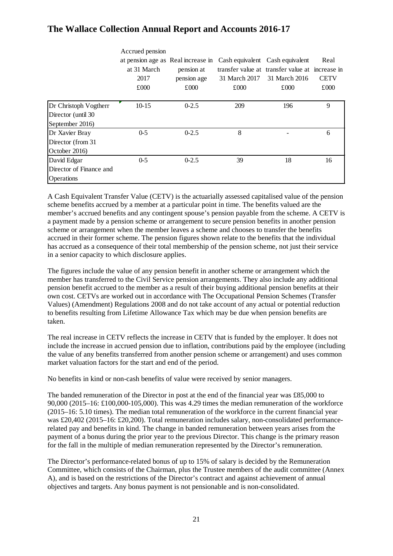|                         | Accrued pension                    |             |               |                                                 |             |
|-------------------------|------------------------------------|-------------|---------------|-------------------------------------------------|-------------|
|                         | at pension age as Real increase in |             |               | Cash equivalent Cash equivalent                 | Real        |
|                         | at 31 March                        | pension at  |               | transfer value at transfer value at increase in |             |
|                         | 2017                               | pension age | 31 March 2017 | 31 March 2016                                   | <b>CETV</b> |
|                         | £000                               | £000        | £000          | £000                                            | £000        |
| Dr Christoph Vogtherr   | $10 - 15$                          | $0 - 2.5$   | 209           | 196                                             | 9           |
|                         |                                    |             |               |                                                 |             |
| Director (until 30)     |                                    |             |               |                                                 |             |
| September 2016)         |                                    |             |               |                                                 |             |
| Dr Xavier Bray          | $0 - 5$                            | $0 - 2.5$   | 8             |                                                 | 6           |
| Director (from 31       |                                    |             |               |                                                 |             |
| October 2016)           |                                    |             |               |                                                 |             |
| David Edgar             | $0 - 5$                            | $0 - 2.5$   | 39            | 18                                              | 16          |
| Director of Finance and |                                    |             |               |                                                 |             |
| <b>Operations</b>       |                                    |             |               |                                                 |             |

 A Cash Equivalent Transfer Value (CETV) is the actuarially assessed capitalised value of the pension scheme benefits accrued by a member at a particular point in time. The benefits valued are the accrued in their former scheme. The pension figures shown relate to the benefits that the individual has accrued as a consequence of their total membership of the pension scheme, not just their service member's accrued benefits and any contingent spouse's pension payable from the scheme. A CETV is a payment made by a pension scheme or arrangement to secure pension benefits in another pension scheme or arrangement when the member leaves a scheme and chooses to transfer the benefits in a senior capacity to which disclosure applies.

 The figures include the value of any pension benefit in another scheme or arrangement which the own cost. CETVs are worked out in accordance with The Occupational Pension Schemes (Transfer Values) (Amendment) Regulations 2008 and do not take account of any actual or potential reduction member has transferred to the Civil Service pension arrangements. They also include any additional pension benefit accrued to the member as a result of their buying additional pension benefits at their to benefits resulting from Lifetime Allowance Tax which may be due when pension benefits are taken.

 The real increase in CETV reflects the increase in CETV that is funded by the employer. It does not include the increase in accrued pension due to inflation, contributions paid by the employee (including market valuation factors for the start and end of the period. the value of any benefits transferred from another pension scheme or arrangement) and uses common

No benefits in kind or non-cash benefits of value were received by senior managers.

 (2015–16: 5.10 times). The median total remuneration of the workforce in the current financial year was £20,402 (2015–16: £20,200). Total remuneration includes salary, non-consolidated performance- related pay and benefits in kind. The change in banded remuneration between years arises from the payment of a bonus during the prior year to the previous Director. This change is the primary reason for the fall in the multiple of median remuneration represented by the Director's remuneration. The banded remuneration of the Director in post at the end of the financial year was £85,000 to 90,000 (2015–16: £100,000-105,000). This was 4.29 times the median remuneration of the workforce

 A), and is based on the restrictions of the Director's contract and against achievement of annual objectives and targets. Any bonus payment is not pensionable and is non-consolidated. The Director's performance-related bonus of up to 15% of salary is decided by the Remuneration Committee, which consists of the Chairman, plus the Trustee members of the audit committee (Annex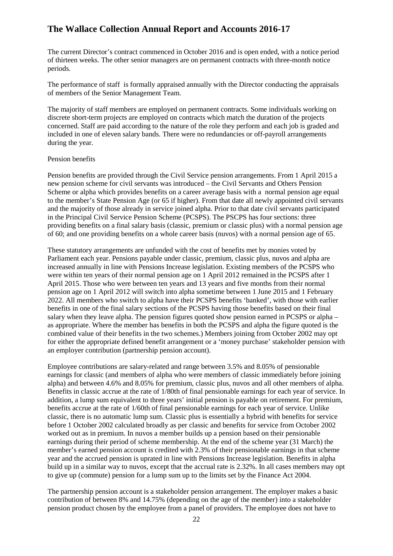of thirteen weeks. The other senior managers are on permanent contracts with three-month notice The current Director's contract commenced in October 2016 and is open ended, with a notice period periods.

 The performance of staff is formally appraised annually with the Director conducting the appraisals of members of the Senior Management Team.

 discrete short-term projects are employed on contracts which match the duration of the projects concerned. Staff are paid according to the nature of the role they perform and each job is graded and The majority of staff members are employed on permanent contracts. Some individuals working on included in one of eleven salary bands. There were no redundancies or off-payroll arrangements during the year.

#### Pension benefits

 in the Principal Civil Service Pension Scheme (PCSPS). The PSCPS has four sections: three providing benefits on a final salary basis (classic, premium or classic plus) with a normal pension age of 60; and one providing benefits on a whole career basis (nuvos) with a normal pension age of 65. Pension benefits are provided through the Civil Service pension arrangements. From 1 April 2015 a new pension scheme for civil servants was introduced – the Civil Servants and Others Pension Scheme or alpha which provides benefits on a career average basis with a normal pension age equal to the member's State Pension Age (or 65 if higher). From that date all newly appointed civil servants and the majority of those already in service joined alpha. Prior to that date civil servants participated

 These statutory arrangements are unfunded with the cost of benefits met by monies voted by benefits in one of the final salary sections of the PCSPS having those benefits based on their final salary when they leave alpha. The pension figures quoted show pension earned in PCSPS or alpha – combined value of their benefits in the two schemes.) Members joining from October 2002 may opt Parliament each year. Pensions payable under classic, premium, classic plus, nuvos and alpha are increased annually in line with Pensions Increase legislation. Existing members of the PCSPS who were within ten years of their normal pension age on 1 April 2012 remained in the PCSPS after 1 April 2015. Those who were between ten years and 13 years and five months from their normal pension age on 1 April 2012 will switch into alpha sometime between 1 June 2015 and 1 February 2022. All members who switch to alpha have their PCSPS benefits 'banked', with those with earlier as appropriate. Where the member has benefits in both the PCSPS and alpha the figure quoted is the for either the appropriate defined benefit arrangement or a 'money purchase' stakeholder pension with an employer contribution (partnership pension account).

 alpha) and between 4.6% and 8.05% for premium, classic plus, nuvos and all other members of alpha. Benefits in classic accrue at the rate of 1/80th of final pensionable earnings for each year of service. In addition, a lump sum equivalent to three years' initial pension is payable on retirement. For premium, benefits accrue at the rate of 1/60th of final pensionable earnings for each year of service. Unlike earnings during their period of scheme membership. At the end of the scheme year (31 March) the Employee contributions are salary-related and range between 3.5% and 8.05% of pensionable earnings for classic (and members of alpha who were members of classic immediately before joining classic, there is no automatic lump sum. Classic plus is essentially a hybrid with benefits for service before 1 October 2002 calculated broadly as per classic and benefits for service from October 2002 worked out as in premium. In nuvos a member builds up a pension based on their pensionable member's earned pension account is credited with 2.3% of their pensionable earnings in that scheme year and the accrued pension is uprated in line with Pensions Increase legislation. Benefits in alpha build up in a similar way to nuvos, except that the accrual rate is 2.32%. In all cases members may opt to give up (commute) pension for a lump sum up to the limits set by the Finance Act 2004.

 The partnership pension account is a stakeholder pension arrangement. The employer makes a basic pension product chosen by the employee from a panel of providers. The employee does not have to contribution of between 8% and 14.75% (depending on the age of the member) into a stakeholder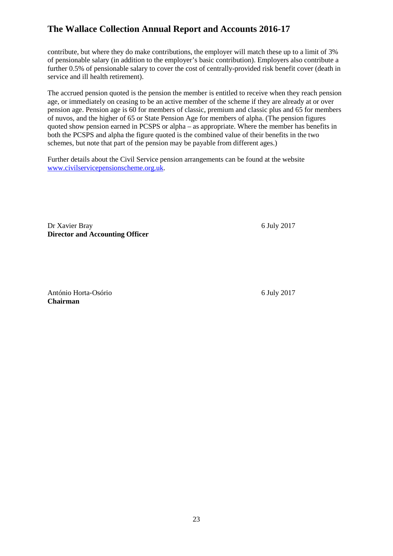contribute, but where they do make contributions, the employer will match these up to a limit of 3% of pensionable salary (in addition to the employer's basic contribution). Employers also contribute a further 0.5% of pensionable salary to cover the cost of centrally-provided risk benefit cover (death in service and ill health retirement).

 pension age. Pension age is 60 for members of classic, premium and classic plus and 65 for members quoted show pension earned in PCSPS or alpha – as appropriate. Where the member has benefits in both the PCSPS and alpha the figure quoted is the combined value of their benefits in the two schemes, but note that part of the pension may be payable from different ages.) The accrued pension quoted is the pension the member is entitled to receive when they reach pension age, or immediately on ceasing to be an active member of the scheme if they are already at or over of nuvos, and the higher of 65 or State Pension Age for members of alpha. (The pension figures

Further details about the Civil Service pension arrangements can be found at the website [www.civilservicepensionscheme.org.uk.](http://www.civilservicepensionscheme.org.uk/)

 Dr Xavier Bray 6 July 2017 **Director and Accounting Officer** 

 António Horta-Osório 6 July 2017 **Chairman**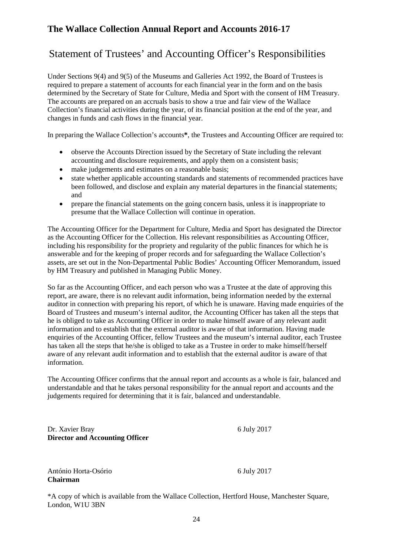# <span id="page-23-0"></span>Statement of Trustees' and Accounting Officer's Responsibilities

 Under Sections 9(4) and 9(5) of the Museums and Galleries Act 1992, the Board of Trustees is Collection's financial activities during the year, of its financial position at the end of the year, and required to prepare a statement of accounts for each financial year in the form and on the basis determined by the Secretary of State for Culture, Media and Sport with the consent of HM Treasury. The accounts are prepared on an accruals basis to show a true and fair view of the Wallace changes in funds and cash flows in the financial year.

In preparing the Wallace Collection's accounts**\***, the Trustees and Accounting Officer are required to:

- • observe the Accounts Direction issued by the Secretary of State including the relevant accounting and disclosure requirements, and apply them on a consistent basis;
- make judgements and estimates on a reasonable basis;
- been followed, and disclose and explain any material departures in the financial statements; • state whether applicable accounting standards and statements of recommended practices have and
- • prepare the financial statements on the going concern basis, unless it is inappropriate to presume that the Wallace Collection will continue in operation.

 including his responsibility for the propriety and regularity of the public finances for which he is assets, are set out in the Non-Departmental Public Bodies' Accounting Officer Memorandum, issued The Accounting Officer for the Department for Culture, Media and Sport has designated the Director as the Accounting Officer for the Collection. His relevant responsibilities as Accounting Officer, answerable and for the keeping of proper records and for safeguarding the Wallace Collection's by HM Treasury and published in Managing Public Money.

 he is obliged to take as Accounting Officer in order to make himself aware of any relevant audit information and to establish that the external auditor is aware of that information. Having made aware of any relevant audit information and to establish that the external auditor is aware of that So far as the Accounting Officer, and each person who was a Trustee at the date of approving this report, are aware, there is no relevant audit information, being information needed by the external auditor in connection with preparing his report, of which he is unaware. Having made enquiries of the Board of Trustees and museum's internal auditor, the Accounting Officer has taken all the steps that enquiries of the Accounting Officer, fellow Trustees and the museum's internal auditor, each Trustee has taken all the steps that he/she is obliged to take as a Trustee in order to make himself/herself information.

 The Accounting Officer confirms that the annual report and accounts as a whole is fair, balanced and understandable and that he takes personal responsibility for the annual report and accounts and the judgements required for determining that it is fair, balanced and understandable.

Dr. Xavier Bray 6 July 2017 **Director and Accounting Officer** 

 António Horta-Osório 6 July 2017 **Chairman** 

\*A copy of which is available from the Wallace Collection, Hertford House, Manchester Square, London, W1U 3BN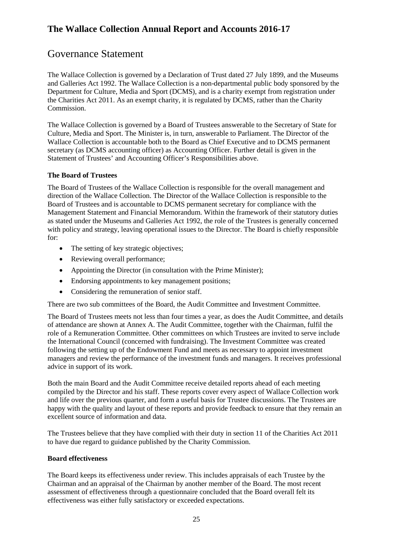# <span id="page-24-0"></span>Governance Statement

The Wallace Collection is governed by a Declaration of Trust dated 27 July 1899, and the Museums and Galleries Act 1992. The Wallace Collection is a non-departmental public body sponsored by the Department for Culture, Media and Sport (DCMS), and is a charity exempt from registration under the Charities Act 2011. As an exempt charity, it is regulated by DCMS, rather than the Charity Commission.

 Culture, Media and Sport. The Minister is, in turn, answerable to Parliament. The Director of the Wallace Collection is accountable both to the Board as Chief Executive and to DCMS permanent The Wallace Collection is governed by a Board of Trustees answerable to the Secretary of State for secretary (as DCMS accounting officer) as Accounting Officer. Further detail is given in the Statement of Trustees' and Accounting Officer's Responsibilities above.

## **The Board of Trustees**

 with policy and strategy, leaving operational issues to the Director. The Board is chiefly responsible The Board of Trustees of the Wallace Collection is responsible for the overall management and direction of the Wallace Collection. The Director of the Wallace Collection is responsible to the Board of Trustees and is accountable to DCMS permanent secretary for compliance with the Management Statement and Financial Memorandum. Within the framework of their statutory duties as stated under the Museums and Galleries Act 1992, the role of the Trustees is generally concerned for:

- The setting of key strategic objectives;
- Reviewing overall performance:
- Appointing the Director (in consultation with the Prime Minister);
- Endorsing appointments to key management positions:
- Considering the remuneration of senior staff.

There are two sub committees of the Board, the Audit Committee and Investment Committee.

 The Board of Trustees meets not less than four times a year, as does the Audit Committee, and details advice in support of its work. of attendance are shown at Annex A. The Audit Committee, together with the Chairman, fulfil the role of a Remuneration Committee. Other committees on which Trustees are invited to serve include the International Council (concerned with fundraising). The Investment Committee was created following the setting up of the Endowment Fund and meets as necessary to appoint investment managers and review the performance of the investment funds and managers. It receives professional

 and life over the previous quarter, and form a useful basis for Trustee discussions. The Trustees are Both the main Board and the Audit Committee receive detailed reports ahead of each meeting compiled by the Director and his staff. These reports cover every aspect of Wallace Collection work happy with the quality and layout of these reports and provide feedback to ensure that they remain an excellent source of information and data.

The Trustees believe that they have complied with their duty in section 11 of the Charities Act 2011 to have due regard to guidance published by the Charity Commission.

## **Board effectiveness**

 The Board keeps its effectiveness under review. This includes appraisals of each Trustee by the Chairman and an appraisal of the Chairman by another member of the Board. The most recent assessment of effectiveness through a questionnaire concluded that the Board overall felt its effectiveness was either fully satisfactory or exceeded expectations.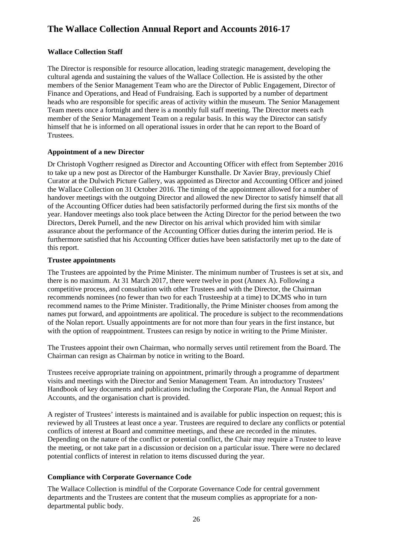## **Wallace Collection Staff**

 cultural agenda and sustaining the values of the Wallace Collection. He is assisted by the other member of the Senior Management Team on a regular basis. In this way the Director can satisfy The Director is responsible for resource allocation, leading strategic management, developing the members of the Senior Management Team who are the Director of Public Engagement, Director of Finance and Operations, and Head of Fundraising. Each is supported by a number of department heads who are responsible for specific areas of activity within the museum. The Senior Management Team meets once a fortnight and there is a monthly full staff meeting. The Director meets each himself that he is informed on all operational issues in order that he can report to the Board of Trustees.

# **Appointment of a new Director**

 the Wallace Collection on 31 October 2016. The timing of the appointment allowed for a number of handover meetings with the outgoing Director and allowed the new Director to satisfy himself that all of the Accounting Officer duties had been satisfactorily performed during the first six months of the year. Handover meetings also took place between the Acting Director for the period between the two Dr Christoph Vogtherr resigned as Director and Accounting Officer with effect from September 2016 to take up a new post as Director of the Hamburger Kunsthalle. Dr Xavier Bray, previously Chief Curator at the Dulwich Picture Gallery, was appointed as Director and Accounting Officer and joined Directors, Derek Purnell, and the new Director on his arrival which provided him with similar assurance about the performance of the Accounting Officer duties during the interim period. He is furthermore satisfied that his Accounting Officer duties have been satisfactorily met up to the date of this report.

## **Trustee appointments**

 competitive process, and consultation with other Trustees and with the Director, the Chairman recommends nominees (no fewer than two for each Trusteeship at a time) to DCMS who in turn names put forward, and appointments are apolitical. The procedure is subject to the recommendations of the Nolan report. Usually appointments are for not more than four years in the first instance, but The Trustees are appointed by the Prime Minister. The minimum number of Trustees is set at six, and there is no maximum. At 31 March 2017, there were twelve in post (Annex A). Following a recommend names to the Prime Minister. Traditionally, the Prime Minister chooses from among the with the option of reappointment. Trustees can resign by notice in writing to the Prime Minister.

 The Trustees appoint their own Chairman, who normally serves until retirement from the Board. The Chairman can resign as Chairman by notice in writing to the Board.

Trustees receive appropriate training on appointment, primarily through a programme of department visits and meetings with the Director and Senior Management Team. An introductory Trustees' Handbook of key documents and publications including the Corporate Plan, the Annual Report and Accounts, and the organisation chart is provided.

 A register of Trustees' interests is maintained and is available for public inspection on request; this is reviewed by all Trustees at least once a year. Trustees are required to declare any conflicts or potential conflicts of interest at Board and committee meetings, and these are recorded in the minutes. Depending on the nature of the conflict or potential conflict, the Chair may require a Trustee to leave potential conflicts of interest in relation to items discussed during the year. the meeting, or not take part in a discussion or decision on a particular issue. There were no declared

# **Compliance with Corporate Governance Code**

 The Wallace Collection is mindful of the Corporate Governance Code for central government departments and the Trustees are content that the museum complies as appropriate for a nondepartmental public body.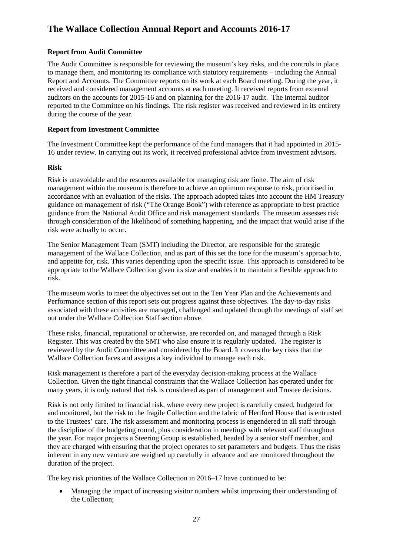## **Report from Audit Committee**

 The Audit Committee is responsible for reviewing the museum's key risks, and the controls in place to manage them, and monitoring its compliance with statutory requirements – including the Annual received and considered management accounts at each meeting. It received reports from external reported to the Committee on his findings. The risk register was received and reviewed in its entirety during the course of the year. Report and Accounts. The Committee reports on its work at each Board meeting. During the year, it auditors on the accounts for 2015-16 and on planning for the 2016-17 audit. The internal auditor

## **Report from Investment Committee**

 The Investment Committee kept the performance of the fund managers that it had appointed in 2015- 16 under review. In carrying out its work, it received professional advice from investment advisors.

## **Risk**

 accordance with an evaluation of the risks. The approach adopted takes into account the HM Treasury Risk is unavoidable and the resources available for managing risk are finite. The aim of risk management within the museum is therefore to achieve an optimum response to risk, prioritised in guidance on management of risk ("The Orange Book") with reference as appropriate to best practice guidance from the National Audit Office and risk management standards. The museum assesses risk through consideration of the likelihood of something happening, and the impact that would arise if the risk were actually to occur.

 The Senior Management Team (SMT) including the Director, are responsible for the strategic management of the Wallace Collection, and as part of this set the tone for the museum's approach to, appropriate to the Wallace Collection given its size and enables it to maintain a flexible approach to and appetite for, risk. This varies depending upon the specific issue. This approach is considered to be risk.

 out under the Wallace Collection Staff section above. The museum works to meet the objectives set out in the Ten Year Plan and the Achievements and Performance section of this report sets out progress against these objectives. The day-to-day risks associated with these activities are managed, challenged and updated through the meetings of staff set

These risks, financial, reputational or otherwise, are recorded on, and managed through a Risk Register. This was created by the SMT who also ensure it is regularly updated. The register is reviewed by the Audit Committee and considered by the Board. It covers the key risks that the Wallace Collection faces and assigns a key individual to manage each risk.

 Collection. Given the tight financial constraints that the Wallace Collection has operated under for Risk management is therefore a part of the everyday decision-making process at the Wallace many years, it is only natural that risk is considered as part of management and Trustee decisions.

 and monitored, but the risk to the fragile Collection and the fabric of Hertford House that is entrusted the discipline of the budgeting round, plus consideration in meetings with relevant staff throughout inherent in any new venture are weighed up carefully in advance and are monitored throughout the Risk is not only limited to financial risk, where every new project is carefully costed, budgeted for to the Trustees' care. The risk assessment and monitoring process is engendered in all staff through the year. For major projects a Steering Group is established, headed by a senior staff member, and they are charged with ensuring that the project operates to set parameters and budgets. Thus the risks duration of the project.

The key risk priorities of the Wallace Collection in 2016–17 have continued to be:

• Managing the impact of increasing visitor numbers whilst improving their understanding of the Collection;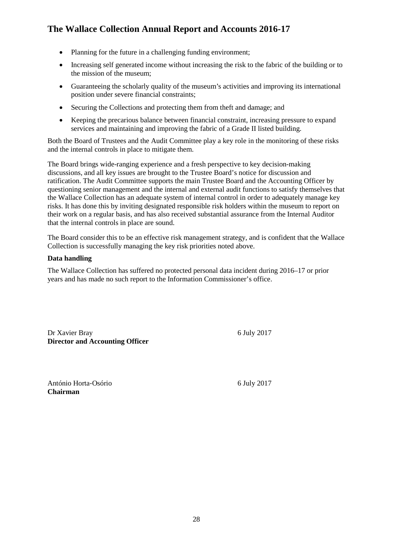- Planning for the future in a challenging funding environment;
- Increasing self generated income without increasing the risk to the fabric of the building or to the mission of the museum;
- Guaranteeing the scholarly quality of the museum's activities and improving its international position under severe financial constraints;
- Securing the Collections and protecting them from theft and damage; and
- • Keeping the precarious balance between financial constraint, increasing pressure to expand services and maintaining and improving the fabric of a Grade II listed building.

 Both the Board of Trustees and the Audit Committee play a key role in the monitoring of these risks and the internal controls in place to mitigate them.

 discussions, and all key issues are brought to the Trustee Board's notice for discussion and questioning senior management and the internal and external audit functions to satisfy themselves that the Wallace Collection has an adequate system of internal control in order to adequately manage key their work on a regular basis, and has also received substantial assurance from the Internal Auditor The Board brings wide-ranging experience and a fresh perspective to key decision-making ratification. The Audit Committee supports the main Trustee Board and the Accounting Officer by risks. It has done this by inviting designated responsible risk holders within the museum to report on that the internal controls in place are sound.

 The Board consider this to be an effective risk management strategy, and is confident that the Wallace Collection is successfully managing the key risk priorities noted above.

## **Data handling**

 The Wallace Collection has suffered no protected personal data incident during 2016–17 or prior years and has made no such report to the Information Commissioner's office.

Dr Xavier Bray 6 July 2017 **Director and Accounting Officer** 

 António Horta-Osório 6 July 2017 **Chairman**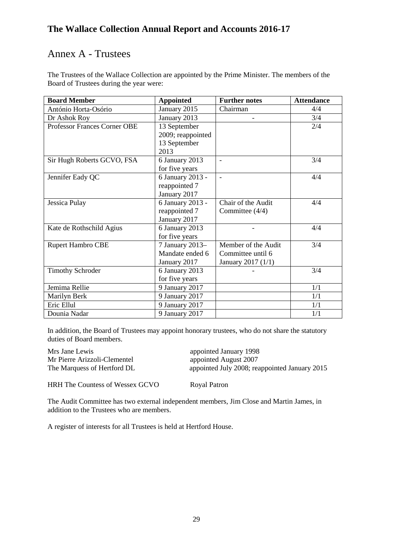# Annex A - Trustees

The Trustees of the Wallace Collection are appointed by the Prime Minister. The members of the Board of Trustees during the year were:

| <b>Board Member</b>                 | <b>Appointed</b>  | <b>Further notes</b>     | <b>Attendance</b> |
|-------------------------------------|-------------------|--------------------------|-------------------|
| António Horta-Osório                | January 2015      | Chairman                 | 4/4               |
| Dr Ashok Roy                        | January 2013      |                          | 3/4               |
| <b>Professor Frances Corner OBE</b> | 13 September      |                          | 2/4               |
|                                     | 2009; reappointed |                          |                   |
|                                     | 13 September      |                          |                   |
|                                     | 2013              |                          |                   |
| Sir Hugh Roberts GCVO, FSA          | 6 January 2013    | $\overline{\phantom{a}}$ | 3/4               |
|                                     | for five years    |                          |                   |
| Jennifer Eady QC                    | 6 January 2013 -  | $\overline{a}$           | 4/4               |
|                                     | reappointed 7     |                          |                   |
|                                     | January 2017      |                          |                   |
| Jessica Pulay                       | 6 January 2013 -  | Chair of the Audit       | 4/4               |
|                                     | reappointed 7     | Committee (4/4)          |                   |
|                                     | January 2017      |                          |                   |
| Kate de Rothschild Agius            | 6 January 2013    |                          | 4/4               |
|                                     | for five years    |                          |                   |
| <b>Rupert Hambro CBE</b>            | 7 January 2013-   | Member of the Audit      | 3/4               |
|                                     | Mandate ended 6   | Committee until 6        |                   |
|                                     | January 2017      | January 2017 (1/1)       |                   |
| <b>Timothy Schroder</b>             | 6 January 2013    |                          | 3/4               |
|                                     | for five years    |                          |                   |
| Jemima Rellie                       | 9 January 2017    |                          | 1/1               |
| Marilyn Berk                        | 9 January 2017    |                          | 1/1               |
| Eric Ellul                          | 9 January 2017    |                          | 1/1               |
| Dounia Nadar                        | 9 January 2017    |                          | 1/1               |

In addition, the Board of Trustees may appoint honorary trustees, who do not share the statutory duties of Board members.

| Mrs Jane Lewis               | appointed January 1998                        |
|------------------------------|-----------------------------------------------|
| Mr Pierre Arizzoli-Clementel | appointed August 2007                         |
| The Marquess of Hertford DL  | appointed July 2008; reappointed January 2015 |

HRH The Countess of Wessex GCVO Royal Patron

 The Audit Committee has two external independent members, Jim Close and Martin James, in addition to the Trustees who are members.

A register of interests for all Trustees is held at Hertford House.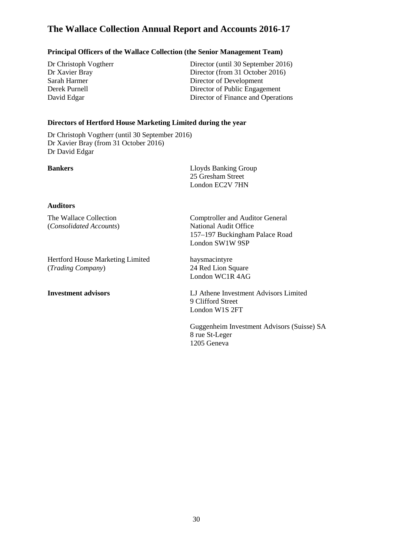## **Principal Officers of the Wallace Collection (the Senior Management Team)**

Dr Christoph Vogtherr Dr Xavier Bray

Director of Development Director of Public Engagement Director (until 30 September 2016) Dr Xavier Bray Director (from 31 October 2016)<br>Sarah Harmer Director of Development Sarah Harmer Director of Public Engagement David Edgar Director of Finance and Operations

## **Directors of Hertford House Marketing Limited during the year**

 Dr Christoph Vogtherr (until 30 September 2016) Dr Xavier Bray (from 31 October 2016) Dr David Edgar

 London EC2V 7HN **Bankers** Lloyds Banking Group 25 Gresham Street

## **Auditors**

The Wallace Collection (*Consolidated Accounts*) National Audit Office

 Hertford House Marketing Limited haysmacintyre (Trading Company)

**Investment advisors** 

Comptroller and Auditor General 157–197 Buckingham Palace Road London SW1W 9SP

(*Trading Company*) 24 Red Lion Square London WC1R 4AG

**Investment advisors** LJ Athene Investment Advisors Limited 9 Clifford Street London W1S 2FT

1205 Geneva Guggenheim Investment Advisors (Suisse) SA 8 rue St-Leger 1205 Geneva 30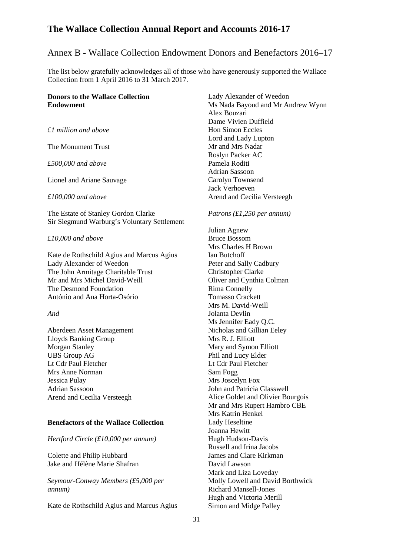# Annex B - Wallace Collection Endowment Donors and Benefactors 2016–17

 The list below gratefully acknowledges all of those who have generously supported the Wallace Collection from 1 April 2016 to 31 March 2017.

## **Donors to the Wallace Collection Endowment**

 *£1 million and above* 

The Monument Trust

*£500,000 and above* 

Lionel and Ariane Sauvage

*£100,000 and above* 

The Estate of Stanley Gordon Clarke Sir Siegmund Warburg's Voluntary Settlement

*£10,000 and above* 

Kate de Rothschild Agius and Marcus Agius Lady Alexander of Weedon The John Armitage Charitable Trust Mr and Mrs Michel David-Weill The Desmond Foundation António and Ana Horta-Osório

*And* 

Aberdeen Asset Management Lloyds Banking Group Morgan Stanley UBS Group AG Lt Cdr Paul Fletcher Mrs Anne Norman Jessica Pulay Adrian Sassoon Arend and Cecilia Versteegh

## **Benefactors of the Wallace Collection**

 *Hertford Circle (£10,000 per annum)* 

Colette and Philip Hubbard Jake and Hélène Marie Shafran

*Seymour-Conway Members (£5,000 per annum)* 

Kate de Rothschild Agius and Marcus Agius

 Adrian Sassoon Lady Alexander of Weedon Ms Nada Bayoud and Mr Andrew Wynn Alex Bouzari Dame Vivien Duffield Hon Simon Eccles Lord and Lady Lupton Mr and Mrs Nadar Roslyn Packer AC Pamela Roditi Carolyn Townsend Jack Verhoeven Arend and Cecilia Versteegh

#### *Patrons (£1,250 per annum)*

 Russell and Irina Jacobs Julian Agnew Bruce Bossom Mrs Charles H Brown Ian Butchoff Peter and Sally Cadbury Christopher Clarke Oliver and Cynthia Colman Rima Connelly Tomasso Crackett Mrs M. David-Weill Jolanta Devlin Ms Jennifer Eady Q.C. Nicholas and Gillian Eeley Mrs R. J. Elliott Mary and Symon Elliott Phil and Lucy Elder Lt Cdr Paul Fletcher Sam Fogg Mrs Joscelyn Fox John and Patricia Glasswell Alice Goldet and Olivier Bourgois Mr and Mrs Rupert Hambro CBE Mrs Katrin Henkel Lady Heseltine Joanna Hewitt Hugh Hudson-Davis James and Clare Kirkman David Lawson Mark and Liza Loveday Molly Lowell and David Borthwick Richard Mansell-Jones Hugh and Victoria Merill Simon and Midge Palley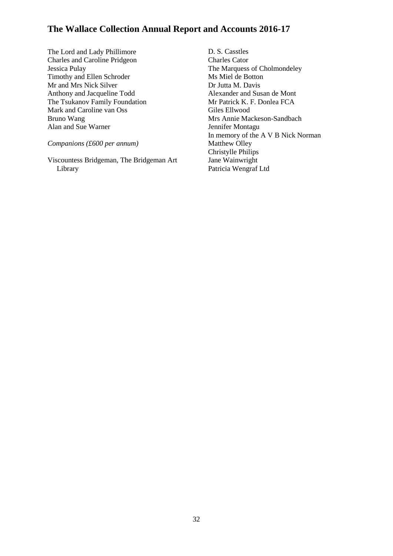Alan and Sue Warner The Lord and Lady Phillimore Charles and Caroline Pridgeon Jessica Pulay Timothy and Ellen Schroder Mr and Mrs Nick Silver Anthony and Jacqueline Todd The Tsukanov Family Foundation Mark and Caroline van Oss Bruno Wang

## *Companions (£600 per annum)*

Viscountess Bridgeman, The Bridgeman Art Library

 Patricia Wengraf Ltd D. S. Casstles Charles Cator The Marquess of Cholmondeley Ms Miel de Botton Dr Jutta M. Davis Alexander and Susan de Mont Mr Patrick K. F. Donlea FCA Giles Ellwood Mrs Annie Mackeson-Sandbach Jennifer Montagu In memory of the A V B Nick Norman Matthew Olley Christylle Philips Jane Wainwright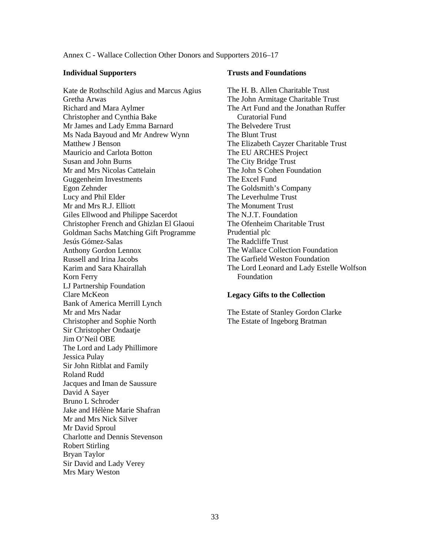Annex C - Wallace Collection Other Donors and Supporters 2016–17

#### **Individual Supporters**

 Mr and Mrs R.J. Elliott Giles Ellwood and Philippe Sacerdot Kate de Rothschild Agius and Marcus Agius Gretha Arwas Richard and Mara Aylmer Christopher and Cynthia Bake Mr James and Lady Emma Barnard Ms Nada Bayoud and Mr Andrew Wynn Matthew J Benson Mauricio and Carlota Botton Susan and John Burns Mr and Mrs Nicolas Cattelain Guggenheim Investments Egon Zehnder Lucy and Phil Elder Christopher French and Ghizlan El Glaoui Goldman Sachs Matching Gift Programme Jesús Gómez-Salas Anthony Gordon Lennox Russell and Irina Jacobs Karim and Sara Khairallah Korn Ferry LJ Partnership Foundation Clare McKeon Bank of America Merrill Lynch Mr and Mrs Nadar Christopher and Sophie North Sir Christopher Ondaatje Jim O'Neil OBE The Lord and Lady Phillimore Jessica Pulay Sir John Ritblat and Family Roland Rudd Jacques and Iman de Saussure David A Sayer Bruno L Schroder Jake and Hélène Marie Shafran Mr and Mrs Nick Silver Mr David Sproul Charlotte and Dennis Stevenson Robert Stirling Bryan Taylor Sir David and Lady Verey Mrs Mary Weston

#### **Trusts and Foundations**

 The H. B. Allen Charitable Trust The Art Fund and the Jonathan Ruffer Curatorial Fund The John Armitage Charitable Trust The Belvedere Trust The Blunt Trust The Elizabeth Cayzer Charitable Trust The EU ARCHES Project The City Bridge Trust The John S Cohen Foundation The Excel Fund The Goldsmith's Company The Leverhulme Trust The Monument Trust The N.J.T. Foundation The Ofenheim Charitable Trust Prudential plc The Radcliffe Trust The Wallace Collection Foundation The Garfield Weston Foundation The Lord Leonard and Lady Estelle Wolfson Foundation

#### **Legacy Gifts to the Collection**

The Estate of Stanley Gordon Clarke The Estate of Ingeborg Bratman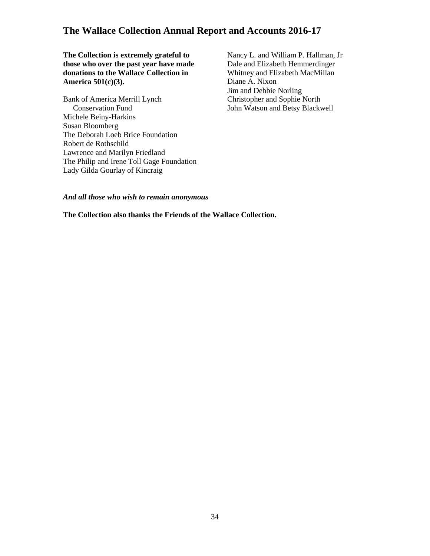**The Collection is extremely grateful to those who over the past year have made donations to the Wallace Collection in America 501(c)(3).** 

 Lady Gilda Gourlay of Kincraig Bank of America Merrill Lynch Conservation Fund Michele Beiny-Harkins Susan Bloomberg The Deborah Loeb Brice Foundation Robert de Rothschild Lawrence and Marilyn Friedland The Philip and Irene Toll Gage Foundation Nancy L. and William P. Hallman, Jr. Whitney and Elizabeth MacMillan Dale and Elizabeth Hemmerdinger Diane A. Nixon Jim and Debbie Norling Christopher and Sophie North John Watson and Betsy Blackwell

*And all those who wish to remain anonymous* 

 **The Collection also thanks the Friends of the Wallace Collection.**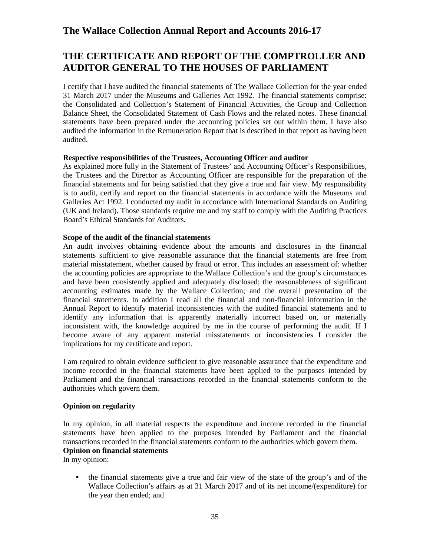# **THE CERTIFICATE AND REPORT OF THE COMPTROLLER AND AUDITOR GENERAL TO THE HOUSES OF PARLIAMENT**

 Balance Sheet, the Consolidated Statement of Cash Flows and the related notes. These financial statements have been prepared under the accounting policies set out within them. I have also I certify that I have audited the financial statements of The Wallace Collection for the year ended 31 March 2017 under the Museums and Galleries Act 1992. The financial statements comprise: the Consolidated and Collection's Statement of Financial Activities, the Group and Collection audited the information in the Remuneration Report that is described in that report as having been audited.

#### **Respective responsibilities of the Trustees, Accounting Officer and auditor**

 As explained more fully in the Statement of Trustees' and Accounting Officer's Responsibilities, the Trustees and the Director as Accounting Officer are responsible for the preparation of the financial statements and for being satisfied that they give a true and fair view. My responsibility is to audit, certify and report on the financial statements in accordance with the Museums and Galleries Act 1992. I conducted my audit in accordance with International Standards on Auditing (UK and Ireland). Those standards require me and my staff to comply with the Auditing Practices Board's Ethical Standards for Auditors.

## **Scope of the audit of the financial statements**

 An audit involves obtaining evidence about the amounts and disclosures in the financial statements sufficient to give reasonable assurance that the financial statements are free from financial statements. In addition I read all the financial and non-financial information in the Annual Report to identify material inconsistencies with the audited financial statements and to identify any information that is apparently materially incorrect based on, or materially inconsistent with, the knowledge acquired by me in the course of performing the audit. If I become aware of any apparent material misstatements or inconsistencies I consider the material misstatement, whether caused by fraud or error. This includes an assessment of: whether the accounting policies are appropriate to the Wallace Collection's and the group's circumstances and have been consistently applied and adequately disclosed; the reasonableness of significant accounting estimates made by the Wallace Collection; and the overall presentation of the implications for my certificate and report.

I am required to obtain evidence sufficient to give reasonable assurance that the expenditure and income recorded in the financial statements have been applied to the purposes intended by Parliament and the financial transactions recorded in the financial statements conform to the authorities which govern them.

## **Opinion on regularity**

 transactions recorded in the financial statements conform to the authorities which govern them. In my opinion, in all material respects the expenditure and income recorded in the financial statements have been applied to the purposes intended by Parliament and the financial **Opinion on financial statements** 

In my opinion:

 the financial statements give a true and fair view of the state of the group's and of the Wallace Collection's affairs as at 31 March 2017 and of its net income/(expenditure) for the year then ended; and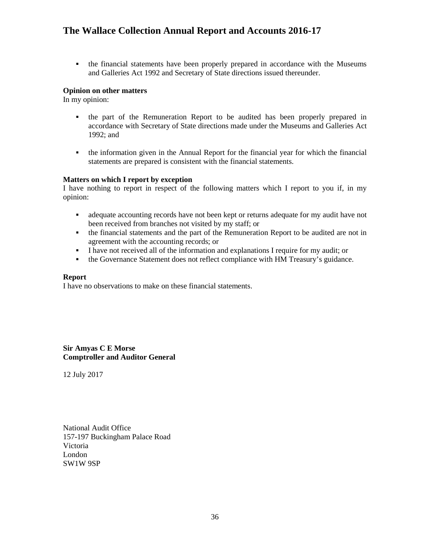• the financial statements have been properly prepared in accordance with the Museums and Galleries Act 1992 and Secretary of State directions issued thereunder.

### **Opinion on other matters**

In my opinion:

- the part of the Remuneration Report to be audited has been properly prepared in accordance with Secretary of State directions made under the Museums and Galleries Act 1992; and
- the information given in the Annual Report for the financial year for which the financial statements are prepared is consistent with the financial statements.

#### **Matters on which I report by exception**

I have nothing to report in respect of the following matters which I report to you if, in my opinion:

- adequate accounting records have not been kept or returns adequate for my audit have not been received from branches not visited by my staff; or
- the financial statements and the part of the Remuneration Report to be audited are not in agreement with the accounting records; or
- I have not received all of the information and explanations I require for my audit; or
- the Governance Statement does not reflect compliance with HM Treasury's guidance.

#### **Report**

I have no observations to make on these financial statements.

**Sir Amyas C E Morse Comptroller and Auditor General** 

12 July 2017

National Audit Office 157-197 Buckingham Palace Road Victoria London SW1W 9SP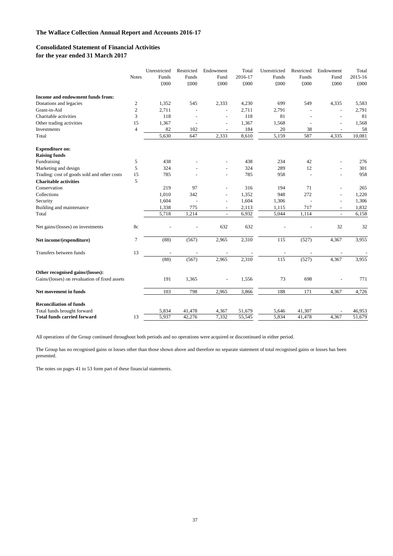#### **Consolidated Statement of Financial Activities for the year ended 31 March 2017**

|                                               |                | Unrestricted | Restricted | Endowment                | Total   | Unrestricted | Restricted     | Endowment                | Total   |
|-----------------------------------------------|----------------|--------------|------------|--------------------------|---------|--------------|----------------|--------------------------|---------|
|                                               | <b>Notes</b>   | Funds        | Funds      | Fund                     | 2016-17 | Funds        | Funds          | Fund                     | 2015-16 |
|                                               |                | £000         | £000       | £000                     | £000    | £000         | £000           | £000                     | £000    |
| Income and endowment funds from:              |                |              |            |                          |         |              |                |                          |         |
| Donations and legacies                        | $\mathfrak{2}$ | 1,352        | 545        | 2,333                    | 4,230   | 699          | 549            | 4,335                    | 5,583   |
| Grant-in-Aid                                  | 2              | 2,711        |            |                          | 2,711   | 2,791        |                | $\overline{a}$           | 2,791   |
| Charitable activities                         | 3              | 118          |            | ٠                        | 118     | 81           |                |                          | 81      |
| Other trading activities                      | 15             | 1,367        |            | ÷,                       | 1,367   | 1,568        |                |                          | 1,568   |
| Investments                                   | $\overline{4}$ | 82           | 102        |                          | 184     | 20           | 38             |                          | 58      |
| Total                                         |                | 5,630        | 647        | 2,333                    | 8,610   | 5,159        | 587            | 4,335                    | 10,081  |
| <b>Expenditure on:</b>                        |                |              |            |                          |         |              |                |                          |         |
| <b>Raising funds</b>                          |                |              |            |                          |         |              |                |                          |         |
| Fundraising                                   | 5              | 438          |            |                          | 438     | 234          | 42             |                          | 276     |
| Marketing and design                          | 5              | 324          |            |                          | 324     | 289          | 12             |                          | 301     |
| Trading: cost of goods sold and other costs   | 15             | 785          |            | $\overline{a}$           | 785     | 958          | $\overline{a}$ | $\overline{\phantom{a}}$ | 958     |
| <b>Charitable activities</b>                  | 5              |              |            |                          |         |              |                |                          |         |
| Conservation                                  |                | 219          | 97         | L.                       | 316     | 194          | 71             |                          | 265     |
| Collections                                   |                | 1,010        | 342        | $\overline{a}$           | 1,352   | 948          | 272            | L,                       | 1,220   |
| Security                                      |                | 1,604        |            | $\overline{\phantom{a}}$ | 1,604   | 1,306        |                | ÷                        | 1,306   |
| Building and maintenance                      |                | 1,338        | 775        | $\overline{\phantom{a}}$ | 2,113   | 1,115        | 717            | $\overline{\phantom{a}}$ | 1,832   |
| Total                                         |                | 5,718        | 1,214      | $\overline{a}$           | 6,932   | 5,044        | 1,114          | $\overline{\phantom{a}}$ | 6,158   |
| Net gains/(losses) on investments             | 8c             |              |            | 632                      | 632     |              |                | 32                       | 32      |
| Net income/(expenditure)                      | 7              | (88)         | (567)      | 2,965                    | 2,310   | 115          | (527)          | 4,367                    | 3,955   |
| Transfers between funds                       | 13             |              |            |                          |         |              |                |                          |         |
|                                               |                | (88)         | (567)      | 2,965                    | 2,310   | 115          | (527)          | 4,367                    | 3,955   |
| Other recognised gains/(losses):              |                |              |            |                          |         |              |                |                          |         |
| Gains/(losses) on revaluation of fixed assets |                | 191          | 1,365      |                          | 1,556   | 73           | 698            |                          | 771     |
| Net movement in funds                         |                | 103          | 798        | 2,965                    | 3,866   | 188          | 171            | 4,367                    | 4,726   |
| <b>Reconciliation of funds</b>                |                |              |            |                          |         |              |                |                          |         |
| Total funds brought forward                   |                | 5,834        | 41,478     | 4,367                    | 51,679  | 5,646        | 41,307         |                          | 46,953  |
| <b>Total funds carried forward</b>            | 13             | 5.937        | 42.276     | 7,332                    | 55.545  | 5.834        | 41,478         | 4.367                    | 51,679  |

All operations of the Group continued throughout both periods and no operations were acquired or discontinued in either period.

The Group has no recognised gains or losses other than those shown above and therefore no separate statement of total recognised gains or losses has been presented.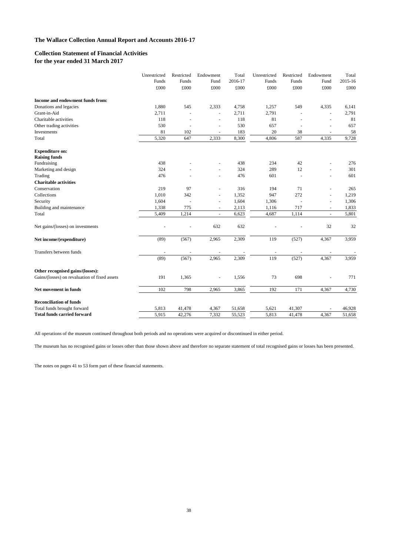#### **Collection Statement of Financial Activities for the year ended 31 March 2017**

|                                               | Unrestricted | Restricted | Endowment      | Total   | Unrestricted | Restricted | Endowment | Total   |
|-----------------------------------------------|--------------|------------|----------------|---------|--------------|------------|-----------|---------|
|                                               | Funds        | Funds      | Fund           | 2016-17 | Funds        | Funds      | Fund      | 2015-16 |
|                                               | £000         | £000       | £000           | £000    | £000         | £000       | £000      | £000    |
| Income and endowment funds from:              |              |            |                |         |              |            |           |         |
| Donations and legacies                        | 1,880        | 545        | 2,333          | 4,758   | 1,257        | 549        | 4,335     | 6,141   |
| Grant-in-Aid                                  | 2,711        |            |                | 2,711   | 2,791        |            | L,        | 2,791   |
| Charitable activities                         | 118          |            |                | 118     | 81           |            | L,        | 81      |
| Other trading activities                      | 530          |            |                | 530     | 657          |            |           | 657     |
| Investments                                   | 81           | 102        |                | 183     | 20           | 38         |           | 58      |
| Total                                         | 5,320        | 647        | 2,333          | 8,300   | 4,806        | 587        | 4,335     | 9,728   |
| <b>Expenditure on:</b>                        |              |            |                |         |              |            |           |         |
| <b>Raising funds</b>                          |              |            |                |         |              |            |           |         |
| Fundraising                                   | 438          |            |                | 438     | 234          | 42         |           | 276     |
| Marketing and design                          | 324          |            |                | 324     | 289          | 12         | L.        | 301     |
| Trading                                       | 476          |            |                | 476     | 601          | $\sim$     | L,        | 601     |
| <b>Charitable activities</b>                  |              |            |                |         |              |            |           |         |
| Conservation                                  | 219          | 97         |                | 316     | 194          | 71         | L,        | 265     |
| Collections                                   | 1,010        | 342        | $\overline{a}$ | 1,352   | 947          | 272        | ÷,        | 1,219   |
| Security                                      | 1,604        |            | $\sim$         | 1,604   | 1,306        |            | L.        | 1,306   |
| Building and maintenance                      | 1,338        | 775        | $\sim$         | 2,113   | 1,116        | 717        | ÷,        | 1,833   |
| Total                                         | 5,409        | 1,214      |                | 6,623   | 4,687        | 1,114      |           | 5,801   |
| Net gains/(losses) on investments             |              |            | 632            | 632     |              |            | 32        | 32      |
| Net income/(expenditure)                      | (89)         | (567)      | 2,965          | 2,309   | 119          | (527)      | 4,367     | 3,959   |
| Transfers between funds                       |              |            |                |         |              |            |           |         |
|                                               | (89)         | (567)      | 2,965          | 2,309   | 119          | (527)      | 4,367     | 3,959   |
| Other recognised gains/(losses):              |              |            |                |         |              |            |           |         |
| Gains/(losses) on revaluation of fixed assets | 191          | 1,365      | $\sim$         | 1,556   | 73           | 698        | L,        | 771     |
| Net movement in funds                         | 102          | 798        | 2,965          | 3,865   | 192          | 171        | 4,367     | 4,730   |
| <b>Reconciliation of funds</b>                |              |            |                |         |              |            |           |         |
| Total funds brought forward                   | 5,813        | 41,478     | 4,367          | 51,658  | 5,621        | 41,307     |           | 46,928  |
| <b>Total funds carried forward</b>            | 5,915        | 42,276     | 7,332          | 55,523  | 5,813        | 41,478     | 4,367     | 51,658  |

All operations of the museum continued throughout both periods and no operations were acquired or discontinued in either period.

The museum has no recognised gains or losses other than those shown above and therefore no separate statement of total recognised gains or losses has been presented.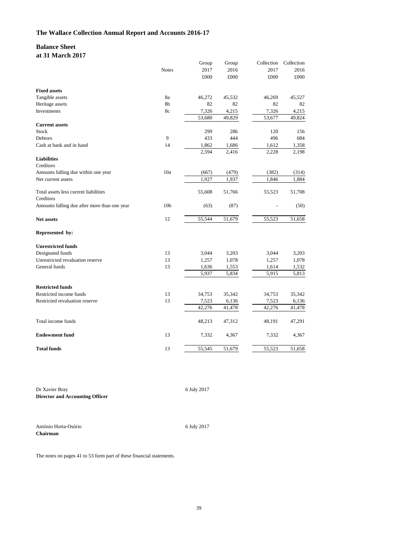#### **Balance Sheet at 31 March 2017**

|                                              |                 | Group        | Group  | Collection | Collection |
|----------------------------------------------|-----------------|--------------|--------|------------|------------|
|                                              | <b>Notes</b>    | 2017         | 2016   | 2017       | 2016       |
|                                              |                 | $\pounds000$ | £000   | £000       | £000       |
| <b>Fixed assets</b>                          |                 |              |        |            |            |
| Tangible assets                              | 8a              | 46,272       | 45,532 | 46,269     | 45,527     |
| Heritage assets                              | 8b              | 82           | 82     | 82         | 82         |
| Investments                                  | 8c              | 7,326        | 4,215  | 7,326      | 4,215      |
|                                              |                 | 53,680       | 49,829 | 53,677     | 49,824     |
| <b>Current assets</b>                        |                 |              |        |            |            |
| Stock                                        |                 | 299          | 286    | 120        | 156        |
| Debtors                                      | 9               | 433          | 444    | 496        | 684        |
| Cash at bank and in hand                     | 14              | 1,862        | 1,686  | 1,612      | 1,358      |
|                                              |                 | 2,594        | 2,416  | 2,228      | 2,198      |
| <b>Liabilities</b>                           |                 |              |        |            |            |
| Creditors                                    |                 |              |        |            |            |
| Amounts falling due within one year          | 10a             | (667)        | (479)  | (382)      | (314)      |
| Net current assets                           |                 | 1,927        | 1,937  | 1,846      | 1,884      |
|                                              |                 |              |        |            |            |
| Total assets less current liabilities        |                 | 55,608       | 51,766 | 55,523     | 51,708     |
| Creditors                                    |                 |              |        |            |            |
| Amounts falling due after more than one year | 10 <sub>b</sub> | (63)         | (87)   |            | (50)       |
| <b>Net assets</b>                            | 12              | 55,544       | 51,679 | 55,523     | 51,658     |
| Represented by:                              |                 |              |        |            |            |
| <b>Unrestricted funds</b>                    |                 |              |        |            |            |
| Designated funds                             | 13              | 3,044        | 3,203  | 3,044      | 3,203      |
| Unrestricted revaluation reserve             | 13              | 1,257        | 1,078  | 1,257      | 1,078      |
| General funds                                | 13              | 1,636        | 1,553  | 1,614      | 1,532      |
|                                              |                 | 5,937        | 5,834  | 5,915      | 5,813      |
|                                              |                 |              |        |            |            |
| <b>Restricted funds</b>                      |                 |              |        |            |            |
| Restricted income funds                      | 13              | 34,753       | 35,342 | 34,753     | 35,342     |
| Restricted revaluation reserve               | 13              | 7,523        | 6,136  | 7,523      | 6,136      |
|                                              |                 | 42,276       | 41,478 | 42,276     | 41,478     |
| Total income funds                           |                 | 48,213       | 47,312 | 48,191     | 47,291     |
| <b>Endowment fund</b>                        | 13              | 7,332        | 4,367  | 7,332      | 4,367      |
| <b>Total funds</b>                           | 13              | 55,545       | 51,679 | 55,523     | 51,658     |

Dr Xavier Bray **Director and Accounting Officer**  6 July 2017

António Horta-Osório

**Chairman** 

6 July 2017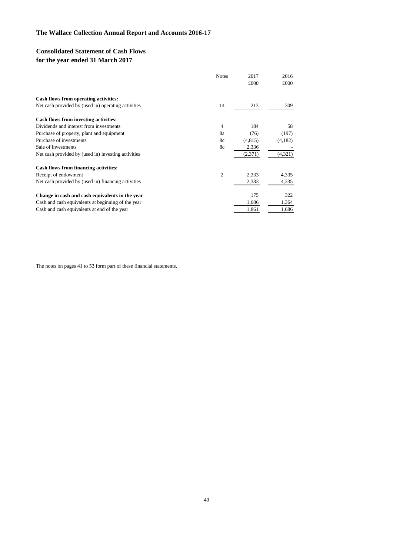# **Consolidated Statement of Cash Flows for the year ended 31 March 2017**

|                                                     | <b>Notes</b>   | 2017    | 2016    |
|-----------------------------------------------------|----------------|---------|---------|
|                                                     |                | £000    | £000    |
| Cash flows from operating activities:               |                |         |         |
| Net cash provided by (used in) operating activities | 14             | 213     | 309     |
| Cash flows from investing activities:               |                |         |         |
| Dividends and interest from investments             | 4              | 184     | 58      |
| Purchase of property, plant and equipment           | 8a             | (76)    | (197)   |
| Purchase of investments                             | 8c             | (4,815) | (4,182) |
| Sale of investments                                 | 8c             | 2,336   |         |
| Net cash provided by (used in) investing activities |                | (2,371) | (4,321) |
| Cash flows from financing activities:               |                |         |         |
| Receipt of endowment                                | $\overline{2}$ | 2,333   | 4,335   |
| Net cash provided by (used in) financing activities |                | 2,333   | 4,335   |
| Change in cash and cash equivalents in the year     |                | 175     | 322     |
| Cash and cash equivalents at beginning of the year  |                | 1,686   | 1,364   |
| Cash and cash equivalents at end of the year        |                | 1,861   | 1,686   |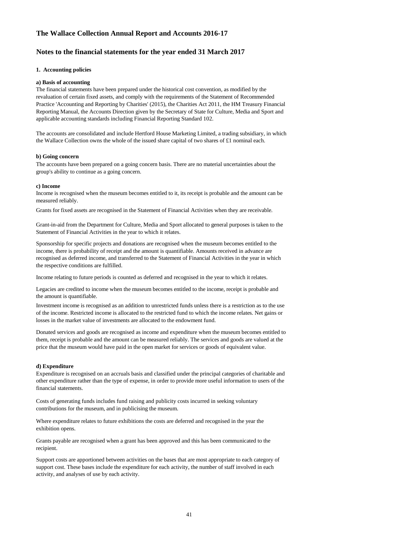#### **Notes to the financial statements for the year ended 31 March 2017**

#### **1. Accounting policies**

#### **a) Basis of accounting**

 The financial statements have been prepared under the historical cost convention, as modified by the Practice 'Accounting and Reporting by Charities' (2015), the Charities Act 2011, the HM Treasury Financial applicable accounting standards including Financial Reporting Standard 102. revaluation of certain fixed assets, and comply with the requirements of the Statement of Recommended Reporting Manual, the Accounts Direction given by the Secretary of State for Culture, Media and Sport and

the Wallace Collection owns the whole of the issued share capital of two shares of £1 nominal each. The accounts are consolidated and include Hertford House Marketing Limited, a trading subsidiary, in which

#### **b) Going concern**

 The accounts have been prepared on a going concern basis. There are no material uncertainties about the group's ability to continue as a going concern.

#### **c) Income**

 Income is recognised when the museum becomes entitled to it, its receipt is probable and the amount can be measured reliably.

Grants for fixed assets are recognised in the Statement of Financial Activities when they are receivable.

 Grant-in-aid from the Department for Culture, Media and Sport allocated to general purposes is taken to the Statement of Financial Activities in the year to which it relates.

 recognised as deferred income, and transferred to the Statement of Financial Activities in the year in which Sponsorship for specific projects and donations are recognised when the museum becomes entitled to the income, there is probability of receipt and the amount is quantifiable. Amounts received in advance are the respective conditions are fulfilled.

Income relating to future periods is counted as deferred and recognised in the year to which it relates.

 Legacies are credited to income when the museum becomes entitled to the income, receipt is probable and the amount is quantifiable.

 Investment income is recognised as an addition to unrestricted funds unless there is a restriction as to the use of the income. Restricted income is allocated to the restricted fund to which the income relates. Net gains or losses in the market value of investments are allocated to the endowment fund.

 Donated services and goods are recognised as income and expenditure when the museum becomes entitled to them, receipt is probable and the amount can be measured reliably. The services and goods are valued at the price that the museum would have paid in the open market for services or goods of equivalent value.

#### **d) Expenditure**

 Expenditure is recognised on an accruals basis and classified under the principal categories of charitable and other expenditure rather than the type of expense, in order to provide more useful information to users of the financial statements.

 Costs of generating funds includes fund raising and publicity costs incurred in seeking voluntary contributions for the museum, and in publicising the museum.

 Where expenditure relates to future exhibitions the costs are deferred and recognised in the year the exhibition opens.

Grants payable are recognised when a grant has been approved and this has been communicated to the recipient.

 Support costs are apportioned between activities on the bases that are most appropriate to each category of support cost. These bases include the expenditure for each activity, the number of staff involved in each activity, and analyses of use by each activity.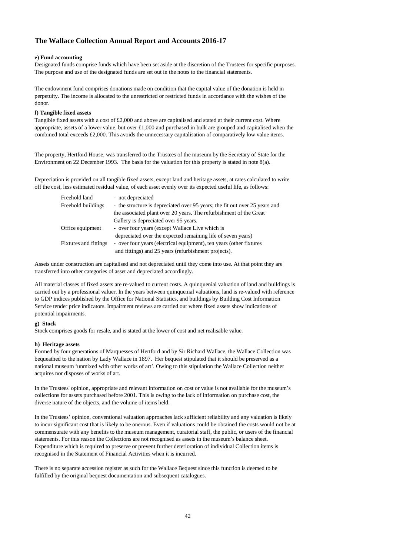#### **e) Fund accounting**

 Designated funds comprise funds which have been set aside at the discretion of the Trustees for specific purposes. The purpose and use of the designated funds are set out in the notes to the financial statements.

 perpetuity. The income is allocated to the unrestricted or restricted funds in accordance with the wishes of the The endowment fund comprises donations made on condition that the capital value of the donation is held in donor.

#### **f) Tangible fixed assets**

 Tangible fixed assets with a cost of £2,000 and above are capitalised and stated at their current cost. Where combined total exceeds £2,000. This avoids the unnecessary capitalisation of comparatively low value items. appropriate, assets of a lower value, but over  $\text{\pounds}1,000$  and purchased in bulk are grouped and capitalised when the

 Environment on 22 December 1993. The basis for the valuation for this property is stated in note 8(a). The property, Hertford House, was transferred to the Trustees of the museum by the Secretary of State for the

 Depreciation is provided on all tangible fixed assets, except land and heritage assets, at rates calculated to write off the cost, less estimated residual value, of each asset evenly over its expected useful life, as follows:

| Freehold land                | - not depreciated                                                           |
|------------------------------|-----------------------------------------------------------------------------|
| Freehold buildings           | - the structure is depreciated over 95 years; the fit out over 25 years and |
|                              | the associated plant over 20 years. The refurbishment of the Great          |
|                              | Gallery is depreciated over 95 years.                                       |
| Office equipment             | - over four years (except Wallace Live which is                             |
|                              | depreciated over the expected remaining life of seven years)                |
| <b>Fixtures and fittings</b> | - over four years (electrical equipment), ten years (other fixtures         |
|                              | and fittings) and 25 years (refurbishment projects).                        |
|                              |                                                                             |

 Assets under construction are capitalised and not depreciated until they come into use. At that point they are transferred into other categories of asset and depreciated accordingly.

 carried out by a professional valuer. In the years between quinquenial valuations, land is re-valued with reference to GDP indices published by the Office for National Statistics, and buildings by Building Cost Information Service tender price indicators. Impairment reviews are carried out where fixed assets show indications of All material classes of fixed assets are re-valued to current costs. A quinquenial valuation of land and buildings is potential impairments.

#### **g) Stock**

Stock comprises goods for resale, and is stated at the lower of cost and net realisable value.

#### **h) Heritage assets**

 Formed by four generations of Marquesses of Hertford and by Sir Richard Wallace, the Wallace Collection was bequeathed to the nation by Lady Wallace in 1897. Her bequest stipulated that it should be preserved as a national museum 'unmixed with other works of art'. Owing to this stipulation the Wallace Collection neither acquires nor disposes of works of art.

 In the Trustees' opinion, appropriate and relevant information on cost or value is not available for the museum's collections for assets purchased before 2001. This is owing to the lack of information on purchase cost, the diverse nature of the objects, and the volume of items held.

 In the Trustees' opinion, conventional valuation approaches lack sufficient reliability and any valuation is likely to incur significant cost that is likely to be onerous. Even if valuations could be obtained the costs would not be at commensurate with any benefits to the museum management, curatorial staff, the public, or users of the financial statements. For this reason the Collections are not recognised as assets in the museum's balance sheet. Expenditure which is required to preserve or prevent further deterioration of individual Collection items is recognised in the Statement of Financial Activities when it is incurred.

 There is no separate accession register as such for the Wallace Bequest since this function is deemed to be fulfilled by the original bequest documentation and subsequent catalogues.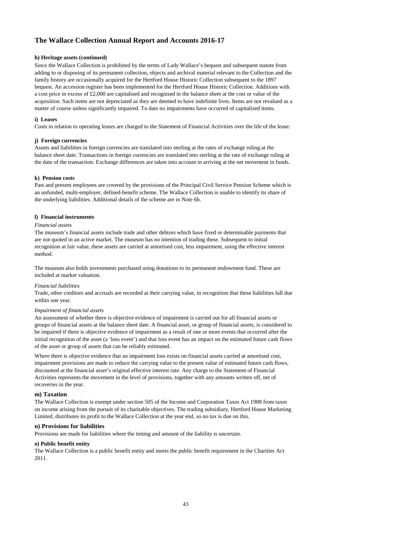#### **h) Heritage assets (continued)**

Since the Wallace Collection is prohibited by the terms of Lady Wallace's bequest and subsequent statute from adding to or disposing of its permanent collection, objects and archival material relevant to the Collection and the family history are occasionally acquired for the Hertford House Historic Collection subsequent to the 1897 bequest. An accession register has been implemented for the Hertford House Historic Collection. Additions with a cost price in excess of £2,000 are capitalised and recognised in the balance sheet at the cost or value of the acquisition. Such items are not depreciated as they are deemed to have indefinite lives. Items are not revalued as a matter of course unless significantly impaired. To date no impairments have occurred of capitalised items.

#### **i) Leases**

Costs in relation to operating leases are charged to the Statement of Financial Activities over the life of the lease.

#### **j) Foreign currencies**

Assets and liabilities in foreign currencies are translated into sterling at the rates of exchange ruling at the balance sheet date. Transactions in foreign currencies are translated into sterling at the rate of exchange ruling at the date of the transaction. Exchange differences are taken into account in arriving at the net movement in funds.

#### **k) Pension costs**

Past and present employees are covered by the provisions of the Principal Civil Service Pension Scheme which is an unfunded, multi-employer, defined-benefit scheme. The Wallace Collection is unable to identify its share of the underlying liabilities. Additional details of the scheme are in Note 6b.

#### **l) Financial instruments**

#### *Financial assets*

The museum's financial assets include trade and other debtors which have fixed or determinable payments that are not quoted in an active market. The museum has no intention of trading these. Subsequent to initial recognition at fair value, these assets are carried at amortised cost, less impairment, using the effective interest method.

The museum also holds investments purchased using donations to its permanent endowment fund. These are included at market valuation.

#### *Financial liabilities*

Trade, other creditors and accruals are recorded at their carrying value, in recognition that these liabilities fall due within one year.

#### *Impairment of financial assets*

An assessment of whether there is objective evidence of impairment is carried out for all financial assets or groups of financial assets at the balance sheet date. A financial asset, or group of financial assets, is considered to be impaired if there is objective evidence of impairment as a result of one or more events that occurred after the initial recognition of the asset (a 'loss event') and that loss event has an impact on the estimated future cash flows of the asset or group of assets that can be reliably estimated.

Where there is objective evidence that an impairment loss exists on financial assets carried at amortised cost, impairment provisions are made to reduce the carrying value to the present value of estimated future cash flows, discounted at the financial asset's original effective interest rate. Any charge to the Statement of Financial Activities represents the movement in the level of provisions, together with any amounts written off, net of recoveries in the year.

#### **m) Taxation**

The Wallace Collection is exempt under section 505 of the Income and Corporation Taxes Act 1988 from taxes on income arising from the pursuit of its charitable objectives. The trading subsidiary, Hertford House Marketing Limited, distributes its profit to the Wallace Collection at the year end, so no tax is due on this.

#### **n) Provisions for liabilities**

Provisions are made for liabilities where the timing and amount of the liability is uncertain.

#### **o) Public benefit entity**

The Wallace Collection is a public benefit entity and meets the public benefit requirement in the Charities Act 2011.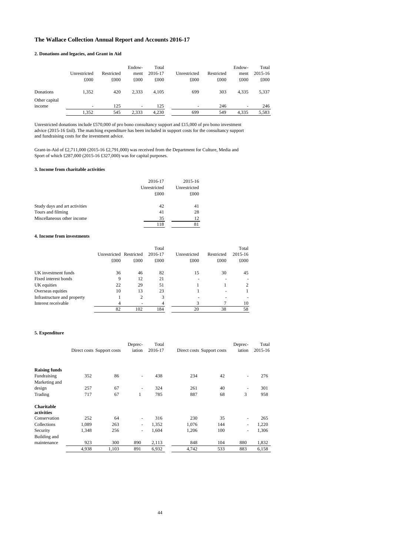#### **2. Donations and legacies, and Grant in Aid**

|                         | Unrestricted<br>£000 | Restricted<br>£000 | Endow-<br>ment<br>£000 | Total<br>2016-17<br>£000 | Unrestricted<br>£000     | Restricted<br>£000 | Endow-<br>ment<br>£000 | Total<br>2015-16<br>£000 |
|-------------------------|----------------------|--------------------|------------------------|--------------------------|--------------------------|--------------------|------------------------|--------------------------|
| Donations               | 1,352                | 420                | 2.333                  | 4,105                    | 699                      | 303                | 4,335                  | 5,337                    |
| Other capital<br>income | ٠                    | 125                | ۰                      | 125                      | $\overline{\phantom{0}}$ | 246                | -                      | 246                      |
|                         | 1.352                | 545                | 2.333                  | 4,230                    | 699                      | 549                | 4.335                  | 5,583                    |

Unrestricted donations include £570,000 of pro bono consultancy support and £15,000 of pro bono investment advice (2015-16 £nil). The matching expenditure has been included in support costs for the consultancy support and fundraising costs for the investment advice.

Grant-in-Aid of £2,711,000 (2015-16 £2,791,000) was received from the Department for Culture, Media and Sport of which £287,000 (2015-16 £327,000) was for capital purposes.

#### **3. Income from charitable activities**

|                               | 2016-17      | 2015-16      |
|-------------------------------|--------------|--------------|
|                               | Unrestricted | Unrestricted |
|                               | £000         | £000         |
| Study days and art activities | 42           | 41           |
| Tours and filming             | 41           | 28           |
| Miscellaneous other income    | 35           | 12.          |
|                               | 118          | 81           |

#### **4. Income from investments**

|                             | Unrestricted Restricted<br>£000 | £000 | Total<br>2016-17<br>£000 | Unrestricted<br>£000 | Restricted<br>£000 | Total<br>2015-16<br>£000 |
|-----------------------------|---------------------------------|------|--------------------------|----------------------|--------------------|--------------------------|
| UK investment funds         | 36                              | 46   | 82                       | 15                   | 30                 | 45                       |
| Fixed interest bonds        | 9                               | 12   | 21                       |                      |                    |                          |
| UK equities                 | 22                              | 29   | 51                       |                      |                    |                          |
| Overseas equities           | 10                              | 13   | 23                       |                      |                    |                          |
| Infrastructure and property |                                 | 2    | 3                        |                      |                    |                          |
| Interest receivable         |                                 |      | 4                        | 3                    |                    | 10                       |
|                             | 82                              | 102  | 184                      | 20                   | 38                 | 58                       |

#### **5. Expenditure**

|                                 | Direct costs Support costs |       | Deprec-<br>iation | Total<br>2016-17 | Direct costs Support costs |     | Deprec-<br>iation | Total<br>2015-16 |
|---------------------------------|----------------------------|-------|-------------------|------------------|----------------------------|-----|-------------------|------------------|
| <b>Raising funds</b>            |                            |       |                   |                  |                            |     |                   |                  |
| Fundraising                     | 352                        | 86    | ۰                 | 438              | 234                        | 42  | ٠                 | 276              |
| Marketing and                   |                            |       |                   |                  |                            |     |                   |                  |
| design                          | 257                        | 67    | ٠                 | 324              | 261                        | 40  |                   | 301              |
| Trading                         | 717                        | 67    | 1                 | 785              | 887                        | 68  | 3                 | 958              |
| <b>Charitable</b><br>activities |                            |       |                   |                  |                            |     |                   |                  |
| Conservation                    | 252                        | 64    | ٠                 | 316              | 230                        | 35  | ٠                 | 265              |
| Collections                     | 1.089                      | 263   | ٠                 | 1,352            | 1,076                      | 144 | ٠                 | 1,220            |
| Security                        | 1,348                      | 256   | ٠                 | 1,604            | 1,206                      | 100 | ٠                 | 1,306            |
| Building and                    |                            |       |                   |                  |                            |     |                   |                  |
| maintenance                     | 923                        | 300   | 890               | 2,113            | 848                        | 104 | 880               | 1,832            |
|                                 | 4,938                      | 1,103 | 891               | 6,932            | 4,742                      | 533 | 883               | 6,158            |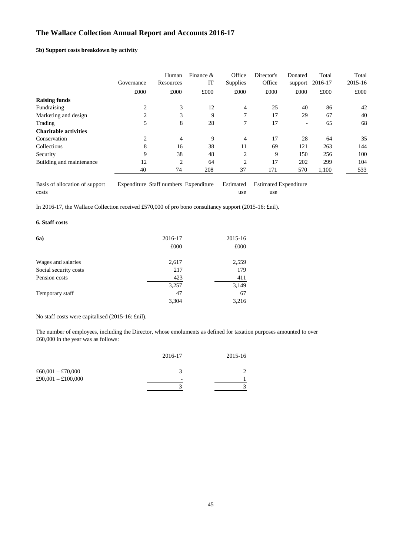#### **5b) Support costs breakdown by activity**

|                              | Governance | Human<br>Resources | Finance $\&$<br>IT | Office<br>Supplies | Director's<br>Office | Donated<br>support       | Total<br>2016-17 | Total<br>2015-16 |
|------------------------------|------------|--------------------|--------------------|--------------------|----------------------|--------------------------|------------------|------------------|
|                              | £000       | £000               | £000               | £000               | £000                 | £000                     | £000             | £000             |
| <b>Raising funds</b>         |            |                    |                    |                    |                      |                          |                  |                  |
| Fundraising                  | 2          | 3                  | 12                 | 4                  | 25                   | 40                       | 86               | 42               |
| Marketing and design         | 2          | 3                  | 9                  | 7                  | 17                   | 29                       | 67               | 40               |
| Trading                      | 5          | 8                  | 28                 | 7                  | 17                   | $\overline{\phantom{0}}$ | 65               | 68               |
| <b>Charitable activities</b> |            |                    |                    |                    |                      |                          |                  |                  |
| Conservation                 | 2          | 4                  | 9                  | 4                  | 17                   | 28                       | 64               | 35               |
| Collections                  | 8          | 16                 | 38                 | 11                 | 69                   | 121                      | 263              | 144              |
| Security                     | 9          | 38                 | 48                 | $\overline{c}$     | 9                    | 150                      | 256              | 100              |
| Building and maintenance     | 12         | 2                  | 64                 | 2                  | 17                   | 202                      | 299              | 104              |
|                              | 40         | 74                 | 208                | 37                 | 171                  | 570                      | 1,100            | 533              |

Basis of allocation of support Expenditure Staff numbers Expenditure Estimated Estimated Expenditure costs use use use the set of the set of the set of the set of the set of the set of the set of the set of the set of the set of the set of the set of the set of the set of the set of the set of the set of the set of the se

In 2016-17, the Wallace Collection received £570,000 of pro bono consultancy support (2015-16: £nil).

#### **6. Staff costs**

| <b>6a</b> )           | 2016-17 | 2015-16 |
|-----------------------|---------|---------|
|                       | £000    | £000    |
| Wages and salaries    | 2,617   | 2,559   |
| Social security costs | 217     | 179     |
| Pension costs         | 423     | 411     |
|                       | 3,257   | 3,149   |
| Temporary staff       | 47      | 67      |
|                       | 3,304   | 3,216   |

No staff costs were capitalised (2015-16: £nil).

The number of employees, including the Director, whose emoluments as defined for taxation purposes amounted to over £60,000 in the year was as follows:

|                    | 2016-17                  | 2015-16 |
|--------------------|--------------------------|---------|
| £60,001 - £70,000  |                          |         |
| £90,001 - £100,000 | $\overline{\phantom{0}}$ |         |
|                    |                          |         |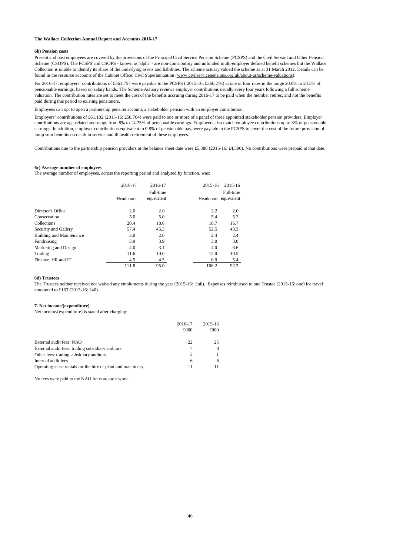#### **6b) Pension costs**

Present and past employees are covered by the provisions of the Principal Civil Service Pension Scheme (PCSPS) and the Civil Servant and Other Pension Scheme (CSOPS). The PCSPS and CSOPS - known as 'alpha' - are non-contributory and unfunded multi-employer defined benefit schemes but the Wallace Collection is unable to identify its share of the underlying assets and liabilities. The scheme actuary valued the scheme as at 31 March 2012. Details can be found in the resource accounts of the Cabinet Office: Civil Superannuation [\(www.civilservicepensions.org.uk/about-us/scheme-valuations](www.civilservicepensions.org.uk/about-us/scheme-valuations)).

For 2016-17, employers' contributions of £361,757 were payable to the PCSPS ( 2015-16: £360,276) at one of four rates in the range 20.0% to 24.5% of pensionable earnings, based on salary bands. The Scheme Actuary reviews employer contributions usually every four years following a full scheme valuation. The contribution rates are set to meet the cost of the benefits accruing during 2016-17 to be paid when the member retires, and not the benefits paid during this period to existing pensioners.

Employees can opt to open a partnership pension account, a stakeholder pension with an employer contribution.

Employers' contributions of £61,102 (2015-16: £50,704) were paid to one or more of a panel of three appointed stakeholder pension providers. Employer contributions are age-related and range from 8% to 14.75% of pensionable earnings. Employers also match employee contributions up to 3% of pensionable earnings. In addition, employer contributions equivalent to 0.8% of pensionable pay, were payable to the PCSPS to cover the cost of the future provision of lump sum benefits on death in service and ill health retirement of these employees.

Contributions due to the partnership pension providers at the balance sheet date were £5,388 (2015-16: £4,500). No contributions were prepaid at that date.

#### **6c) Average number of employees**

The average number of employees, across the reporting period and analysed by function, was:

|                                 | 2016-17   | 2016-17<br>Full-time | 2015-16              | 2015-16<br>Full-time |
|---------------------------------|-----------|----------------------|----------------------|----------------------|
|                                 | Headcount | equivalent           | Headcount equivalent |                      |
| Director's Office               | 2.0       | 2.0                  | 2.2                  | 2.0                  |
| Conservation                    | 5.0       | 5.0                  | 5.4                  | 5.3                  |
| Collections                     | 20.4      | 18.6                 | 18.7                 | 16.7                 |
| Security and Gallery            | 57.4      | 45.3                 | 52.5                 | 43.3                 |
| <b>Building and Maintenance</b> | 3.0       | 2.6                  | 2.4                  | 2.4                  |
| Fundraising                     | 3.9       | 3.9                  | 3.0                  | 3.0                  |
| Marketing and Design            | 4.0       | 3.1                  | 4.0                  | 3.6                  |
| Trading                         | 11.6      | 10.0                 | 12.0                 | 10.5                 |
| Finance, HR and IT              | 4.5       | 4.5                  | 6.0                  | 5.4                  |
|                                 | 111.8     | 95.0                 | 106.2                | 92.2                 |

#### **6d) Trustees**

The Trustees neither received nor waived any emoluments during the year (2015-16: fiil). Expenses reimbursed to one Trustee (2015-16: one) for travel amounted to £163 (2015-16: £40).

#### **7. Net income/(expenditure)**

Net income/(expenditure) is stated after charging:

|                                                             | 2016-17<br>£000 | 2015-16<br>£000 |
|-------------------------------------------------------------|-----------------|-----------------|
| External audit fees: NAO                                    | 22              | 25              |
| External audit fees: trading subsidiary auditors            |                 |                 |
| Other fees: trading subsidiary auditors                     | 3               |                 |
| Internal audit fees                                         | 6               | 6               |
| Operating lease rentals for the hire of plant and machinery | 11              |                 |

No fees were paid to the NAO for non-audit work.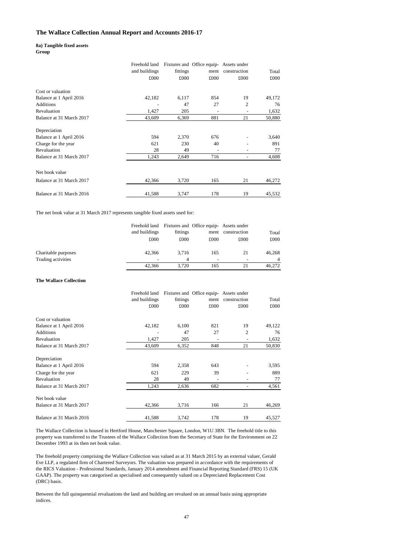## **8a) Tangible fixed assets**

**Group** 

|                          | Freehold land |          | Fixtures and Office equip-Assets under |                          |        |
|--------------------------|---------------|----------|----------------------------------------|--------------------------|--------|
|                          | and buildings | fittings | ment                                   | construction             | Total  |
|                          | £000          | £000     | £000                                   | £000                     | £000   |
| Cost or valuation        |               |          |                                        |                          |        |
| Balance at 1 April 2016  | 42,182        | 6,117    | 854                                    | 19                       | 49,172 |
| <b>Additions</b>         |               | 47       | 27                                     | 2                        | 76     |
| Revaluation              | 1,427         | 205      |                                        | $\overline{\phantom{a}}$ | 1,632  |
| Balance at 31 March 2017 | 43,609        | 6,369    | 881                                    | 21                       | 50,880 |
| Depreciation             |               |          |                                        |                          |        |
| Balance at 1 April 2016  | 594           | 2,370    | 676                                    |                          | 3,640  |
| Charge for the year      | 621           | 230      | 40                                     |                          | 891    |
| Revaluation              | 28            | 49       |                                        | ۰                        | 77     |
| Balance at 31 March 2017 | 1,243         | 2,649    | 716                                    | $\blacksquare$           | 4,608  |
| Net book value           |               |          |                                        |                          |        |
| Balance at 31 March 2017 | 42,366        | 3,720    | 165                                    | 21                       | 46,272 |
| Balance at 31 March 2016 | 41,588        | 3,747    | 178                                    | 19                       | 45,532 |

The net book value at 31 March 2017 represents tangible fixed assets used for:

|                                           | Freehold land<br>and buildings<br>£000 | fittings<br>£000 | Fixtures and Office equip-Assets under<br>ment<br>£000 | construction<br>£000           | Total<br>£000 |
|-------------------------------------------|----------------------------------------|------------------|--------------------------------------------------------|--------------------------------|---------------|
| Charitable purposes<br>Trading activities | 42.366                                 | 3.716<br>4       | 165<br>-                                               | 21<br>$\overline{\phantom{0}}$ | 46.268        |
|                                           | 42.366                                 | 3.720            | 165                                                    |                                | 46.272        |

#### **The Wallace Collection**

|                          | Freehold land<br>and buildings | fittings | Fixtures and Office equip-Assets under<br>ment | construction   | Total  |
|--------------------------|--------------------------------|----------|------------------------------------------------|----------------|--------|
|                          | £000                           | £000     | £000                                           | £000           | £000   |
| Cost or valuation        |                                |          |                                                |                |        |
| Balance at 1 April 2016  | 42,182                         | 6,100    | 821                                            | 19             | 49,122 |
| <b>Additions</b>         |                                | 47       | 27                                             | $\overline{2}$ | 76     |
| Revaluation              | 1,427                          | 205      |                                                |                | 1,632  |
| Balance at 31 March 2017 | 43,609                         | 6,352    | 848                                            | 21             | 50,830 |
| Depreciation             |                                |          |                                                |                |        |
| Balance at 1 April 2016  | 594                            | 2,358    | 643                                            |                | 3,595  |
| Charge for the year      | 621                            | 229      | 39                                             |                | 889    |
| Revaluation              | 28                             | 49       |                                                |                | 77     |
| Balance at 31 March 2017 | 1,243                          | 2,636    | 682                                            |                | 4,561  |
| Net book value           |                                |          |                                                |                |        |
| Balance at 31 March 2017 | 42,366                         | 3,716    | 166                                            | 21             | 46,269 |
| Balance at 31 March 2016 | 41,588                         | 3,742    | 178                                            | 19             | 45,527 |

The Wallace Collection is housed in Hertford House, Manchester Square, London, W1U 3BN. The freehold title to this property was transferred to the Trustees of the Wallace Collection from the Secretary of State for the Environment on 22 December 1993 at its then net book value.

Eve LLP, a regulated firm of Chartered Surveyors. The valuation was prepared in accordance with the requirements of The freehold property comprising the Wallace Collection was valued as at 31 March 2015 by an external valuer, Gerald the RICS Valuation - Professional Standards, January 2014 amendment and Financial Reporting Standard (FRS) 15 (UK GAAP). The property was categorised as specialised and consequently valued on a Depreciated Replacement Cost (DRC) basis.

Between the full quinquennial revaluations the land and building are revalued on an annual basis using appropriate indices.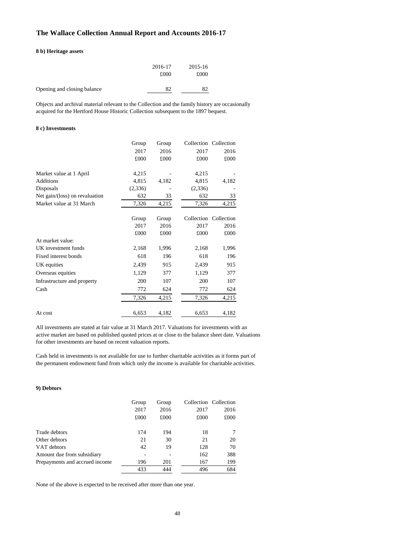#### **8 b) Heritage assets**

|                             | 2016-17<br>£000 | 2015-16<br>£000 |
|-----------------------------|-----------------|-----------------|
| Opening and closing balance | 82              | 82              |

Objects and archival material relevant to the Collection and the family history are occasionally acquired for the Hertford House Historic Collection subsequent to the 1897 bequest.

#### **8 c) Investments**

|                                | Group   | Group |            | Collection Collection |
|--------------------------------|---------|-------|------------|-----------------------|
|                                | 2017    | 2016  | 2017       | 2016                  |
|                                | £000    | £000  | £000       | £000                  |
| Market value at 1 April        | 4,215   |       | 4,215      |                       |
| <b>Additions</b>               | 4,815   | 4,182 | 4,815      | 4,182                 |
| Disposals                      | (2,336) |       | (2,336)    |                       |
| Net gain/(loss) on revaluation | 632     | 33    | 632        | 33                    |
| Market value at 31 March       | 7,326   | 4,215 | 7,326      | 4,215                 |
|                                | Group   | Group | Collection | Collection            |
|                                | 2017    | 2016  | 2017       | 2016                  |
|                                | £000    | £000  | £000       | £000                  |
| At market value:               |         |       |            |                       |
| UK investment funds            | 2,168   | 1,996 | 2,168      | 1,996                 |
| Fixed interest bonds           | 618     | 196   | 618        | 196                   |
| UK equities                    | 2,439   | 915   | 2,439      | 915                   |
| Overseas equities              | 1,129   | 377   | 1,129      | 377                   |
| Infrastructure and property    | 200     | 107   | 200        | 107                   |
| Cash                           | 772     | 624   | 772        | 624                   |
|                                | 7,326   | 4,215 | 7,326      | 4,215                 |
| At cost                        | 6,653   | 4,182 | 6,653      | 4,182                 |

All investments are stated at fair value at 31 March 2017. Valuations for investments with an active market are based on published quoted prices at or close to the balance sheet date. Valuations for other investments are based on recent valuation reports.

Cash held in investments is not available for use to further charitable activities as it forms part of the permanent endowment fund from which only the income is available for charitable activities.

#### **9) Debtors**

|                                | Group | Group |      | Collection Collection |
|--------------------------------|-------|-------|------|-----------------------|
|                                | 2017  | 2016  | 2017 | 2016                  |
|                                | £000  | £000  | £000 | £000                  |
| Trade debtors                  | 174   | 194   | 18   |                       |
| Other debtors                  | 21    | 30    | 21   | 20                    |
| VAT debtors                    | 42    | 19    | 128  | 70                    |
| Amount due from subsidiary     |       |       | 162  | 388                   |
| Prepayments and accrued income | 196   | 201   | 167  | 199                   |
|                                | 433   | 444   | 496  | 684                   |

None of the above is expected to be received after more than one year.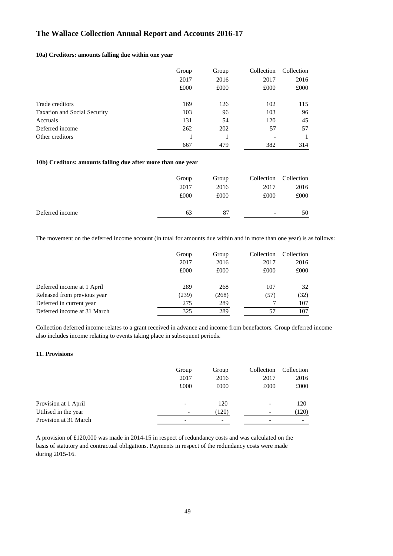### **10a) Creditors: amounts falling due within one year**

|                                     | Group | Group | Collection | Collection |
|-------------------------------------|-------|-------|------------|------------|
|                                     | 2017  | 2016  | 2017       | 2016       |
|                                     | £000  | £000  | £000       | £000       |
| Trade creditors                     | 169   | 126   | 102        | 115        |
| <b>Taxation and Social Security</b> | 103   | 96    | 103        | 96         |
| Accruals                            | 131   | 54    | 120        | 45         |
| Deferred income                     | 262   | 202   | 57         | 57         |
| Other creditors                     |       |       |            |            |
|                                     | 667   | 479   | 382        | 314        |

#### **10b) Creditors: amounts falling due after more than one year**

|                 | Group | Group |                          | Collection Collection |
|-----------------|-------|-------|--------------------------|-----------------------|
|                 | 2017  | 2016  | 2017                     | 2016                  |
|                 | £000  | £000  | £000                     | £000                  |
| Deferred income | 63    | 87    | $\overline{\phantom{a}}$ | 50                    |

The movement on the deferred income account (in total for amounts due within and in more than one year) is as follows:

|                             | Group | Group | Collection | Collection |
|-----------------------------|-------|-------|------------|------------|
|                             | 2017  | 2016  | 2017       | 2016       |
|                             | £000  | £000  | £000       | £000       |
| Deferred income at 1 April  | 289   | 268   | 107        | 32         |
| Released from previous year | (239) | (268) | (57)       | (32)       |
| Deferred in current year    | 275   | 289   |            | 107        |
| Deferred income at 31 March | 325   | 289   | 57         | 107        |

Collection deferred income relates to a grant received in advance and income from benefactors. Group deferred income also includes income relating to events taking place in subsequent periods.

#### **11. Provisions**

|                       | Group                    | Group | Collection               | Collection               |
|-----------------------|--------------------------|-------|--------------------------|--------------------------|
|                       | 2017                     | 2016  | 2017                     | 2016                     |
|                       | £000                     | £000  | £000                     | £000                     |
| Provision at 1 April  |                          | 120   | $\overline{\phantom{0}}$ | 120                      |
| Utilised in the year  | $\overline{\phantom{a}}$ | (120) | $\overline{\phantom{0}}$ | (120)                    |
| Provision at 31 March |                          |       |                          | $\overline{\phantom{a}}$ |

A provision of £120,000 was made in 2014-15 in respect of redundancy costs and was calculated on the basis of statutory and contractual obligations. Payments in respect of the redundancy costs were made during 2015-16.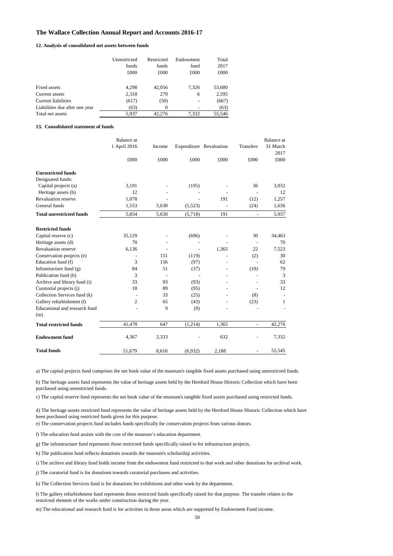#### **12. Analysis of consolidated net assets between funds**

|                                | Unrestricted | Restricted | Endowment | Total  |
|--------------------------------|--------------|------------|-----------|--------|
|                                | funds        | funds      | fund      | 2017   |
|                                | £000         | £000       | £000      | £000   |
| Fixed assets                   | 4,298        | 42,056     | 7,326     | 53,680 |
| Current assets                 | 2,318        | 270        | 6         | 2,595  |
| Current liabilities            | (617)        | (50)       | ۰         | (667)  |
| Liabilities due after one year | (63)         | 0          |           | (63)   |
| Total net assets               | 5.937        | 42,276     | 7.332     | 55,546 |

#### **13. Consolidated statement of funds**

|                                 | Balance at     |        |          |                         |                          | Balance at       |
|---------------------------------|----------------|--------|----------|-------------------------|--------------------------|------------------|
|                                 | 1 April 2016   | Income |          | Expenditure Revaluation | Transfers                | 31 March<br>2017 |
|                                 | £000           | £000   | £000     | £000                    | £000                     | £000             |
| <b>Unrestricted funds</b>       |                |        |          |                         |                          |                  |
| Designated funds:               |                |        |          |                         |                          |                  |
| Capital projects (a)            | 3,191          |        | (195)    |                         | 36                       | 3,032            |
| Heritage assets (b)             | 12             |        |          |                         |                          | 12               |
| Revaluation reserve             | 1,078          |        |          | 191                     | (12)                     | 1,257            |
| General funds                   | 1,553          | 5,630  | (5, 523) |                         | (24)                     | 1,636            |
| <b>Total unrestricted funds</b> | 5,834          | 5,630  | (5,718)  | 191                     | $\blacksquare$           | 5,937            |
| <b>Restricted funds</b>         |                |        |          |                         |                          |                  |
| Capital reserve (c)             | 35,129         |        | (696)    |                         | 30                       | 34,463           |
| Heritage assets (d)             | 70             |        |          |                         | $\overline{\phantom{a}}$ | 70               |
| Revaluation reserve             | 6,136          |        |          | 1,365                   | 22                       | 7,523            |
| Conservation projects (e)       |                | 151    | (119)    |                         | (2)                      | 30               |
| Education fund (f)              | 3              | 156    | (97)     |                         |                          | 62               |
| Infrastructure fund (g)         | 84             | 51     | (37)     |                         | (19)                     | 79               |
| Publication fund (h)            | 3              |        |          |                         |                          | 3                |
| Archive and library fund (i)    | 33             | 93     | (93)     |                         |                          | 33               |
| Curatorial projects (j)         | 18             | 89     | (95)     |                         |                          | 12               |
| Collection Services fund (k)    | $\overline{a}$ | 33     | (25)     |                         | (8)                      |                  |
| Gallery refurbishment (1)       | $\overline{c}$ | 65     | (43)     |                         | (23)                     | 1                |
| Educational and research fund   |                | 9      | (9)      |                         |                          |                  |
| (m)                             |                |        |          |                         |                          |                  |
| <b>Total restricted funds</b>   | 41,478         | 647    | (1,214)  | 1.365                   | $\overline{\phantom{a}}$ | 42,276           |
| <b>Endowment fund</b>           | 4,367          | 2,333  |          | 632                     |                          | 7,332            |
| <b>Total funds</b>              | 51.679         | 8,610  | (6,932)  | 2,188                   |                          | 55,545           |

a) The capital projects fund comprises the net book value of the museum's tangible fixed assets purchased using unrestricted funds.

b) The heritage assets fund represents the value of heritage assets held by the Hertford House Historic Collection which have been purchased using unrestricted funds.

c) The capital reserve fund represents the net book value of the museum's tangible fixed assets purchased using restricted funds.

d) The heritage assets restricted fund represents the value of heritage assets held by the Hertford House Historic Collection which have been purchased using restricted funds given for this purpose.

e) The conservation projects fund includes funds specifically for conservation projects from various donors.

f) The education fund assists with the cost of the museum's education department.

g) The infrastructure fund represents those restricted funds specifically raised to for infrastructure projects.

h) The publication fund reflects donations towards the museum's scholarship activities.

i) The archive and library fund holds income from the endowment fund restricted to that work and other donations for archival work.

j) The curatorial fund is for donations towards curatorial purchases and activities.

k) The Collection Services fund is for donations for exhibitions and other work by the department.

l) The gallery refurbishment fund represents those restricted funds specifically raised for that purpose. The transfer relates to the restricted element of the works under construction during the year.

m) The educational and research fund is for activities in those areas which are supported by Endowment Fund income.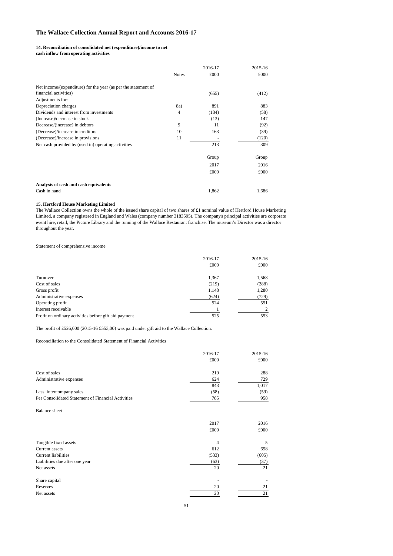#### **14. Reconciliation of consolidated net (expenditure)/income to net**

**cash inflow from operating activities** 

|                                                                |                | 2016-17 | 2015-16 |
|----------------------------------------------------------------|----------------|---------|---------|
|                                                                | <b>Notes</b>   | £000    | £000    |
| Net income/(expenditure) for the year (as per the statement of |                |         |         |
| financial activities)                                          |                | (655)   | (412)   |
| Adjustments for:                                               |                |         |         |
| Depreciation charges                                           | 8a)            | 891     | 883     |
| Dividends and interest from investments                        | $\overline{4}$ | (184)   | (58)    |
| (Increase)/decrease in stock                                   |                | (13)    | 147     |
| Decrease/(increase) in debtors                                 | 9              | 11      | (92)    |
| (Decrease)/increase in creditors                               | 10             | 163     | (39)    |
| (Decrease)/increase in provisions                              | 11             |         | (120)   |
| Net cash provided by (used in) operating activities            |                | 213     | 309     |
|                                                                |                | Group   | Group   |
|                                                                |                | 2017    | 2016    |
|                                                                |                | £000    | £000    |
| Analysis of cash and cash equivalents                          |                |         |         |
| Cash in hand                                                   |                | 1,862   | 1,686   |

#### **15. Hertford House Marketing Limited**

The Wallace Collection owns the whole of the issued share capital of two shares of £1 nominal value of Hertford House Marketing Limited, a company registered in England and Wales (company number 3183595). The company's principal activities are corporate event hire, retail, the Picture Library and the running of the Wallace Restaurant franchise. The museum's Director was a director throughout the year.

#### Statement of comprehensive income

|                                                       | 2016-17 | 2015-16 |
|-------------------------------------------------------|---------|---------|
|                                                       | £000    | £000    |
| Turnover                                              | 1,367   | 1,568   |
| Cost of sales                                         | (219)   | (288)   |
| Gross profit                                          | 1,148   | 1,280   |
| Administrative expenses                               | (624)   | (729)   |
| Operating profit                                      | 524     | 551     |
| Interest receivable                                   |         | 2       |
| Profit on ordinary activities before gift aid payment | 525     | 553     |

The profit of £526,000 (2015-16 £553,00) was paid under gift aid to the Wallace Collection.

#### Reconciliation to the Consolidated Statement of Financial Activities

|                                                    | 2016-17<br>£000 | 2015-16<br>£000 |
|----------------------------------------------------|-----------------|-----------------|
| Cost of sales                                      | 219             | 288             |
| Administrative expenses                            | 624             | 729             |
|                                                    | 843             | 1,017           |
| Less: intercompany sales                           | (58)            | (59)            |
| Per Consolidated Statement of Financial Activities | 785             | 958             |
| <b>Balance</b> sheet                               |                 |                 |
|                                                    | 2017            | 2016            |
|                                                    | £000            | £000            |
| Tangible fixed assets                              | 4               | 5               |
| Current assets                                     | 612             | 658             |
| <b>Current liabilities</b>                         | (533)           | (605)           |
| Liabilities due after one year                     | (63)            | (37)            |
| Net assets                                         | 20              | 21              |
| Share capital                                      |                 |                 |
| Reserves                                           | 20              | 21              |
| Net assets                                         | 20              | 21              |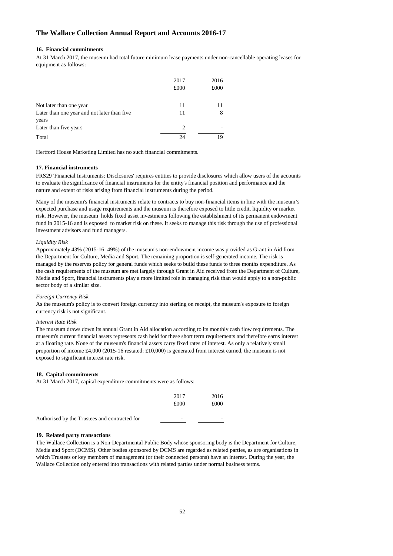#### **16. Financial commitments**

At 31 March 2017, the museum had total future minimum lease payments under non-cancellable operating leases for equipment as follows:

|                                             | 2017 | 2016 |
|---------------------------------------------|------|------|
|                                             | £000 | £000 |
|                                             |      |      |
| Not later than one year                     | 11   | 11   |
| Later than one year and not later than five | 11   | 8    |
| years                                       |      |      |
| Later than five years                       | 2    |      |
| Total                                       | 24   | 19   |

Hertford House Marketing Limited has no such financial commitments.

#### **17. Financial instruments**

FRS29 'Financial Instruments: Disclosures' requires entities to provide disclosures which allow users of the accounts to evaluate the significance of financial instruments for the entity's financial position and performance and the nature and extent of risks arising from financial instruments during the period.

Many of the museum's financial instruments relate to contracts to buy non-financial items in line with the museum's expected purchase and usage requirements and the museum is therefore exposed to little credit, liquidity or market risk. However, the museum holds fixed asset investments following the establishment of its permanent endowment fund in 2015-16 and is exposed to market risk on these. It seeks to manage this risk through the use of professional investment advisors and fund managers.

#### *Liquidity Risk*

Approximately 43% (2015-16: 49%) of the museum's non-endowment income was provided as Grant in Aid from the Department for Culture, Media and Sport. The remaining proportion is self-generated income. The risk is managed by the reserves policy for general funds which seeks to build these funds to three months expenditure. As the cash requirements of the museum are met largely through Grant in Aid received from the Department of Culture, Media and Sport, financial instruments play a more limited role in managing risk than would apply to a non-public sector body of a similar size.

#### *Foreign Currency Risk*

As the museum's policy is to convert foreign currency into sterling on receipt, the museum's exposure to foreign currency risk is not significant.

#### *Interest Rate Risk*

The museum draws down its annual Grant in Aid allocation according to its monthly cash flow requirements. The museum's current financial assets represents cash held for these short term requirements and therefore earns interest at a floating rate. None of the museum's financial assets carry fixed rates of interest. As only a relatively small proportion of income £4,000 (2015-16 restated: £10,000) is generated from interest earned, the museum is not exposed to significant interest rate risk.

#### **18. Capital commitments**

At 31 March 2017, capital expenditure commitments were as follows:

|                                               | 2017<br>£000             | 2016<br>£000 |
|-----------------------------------------------|--------------------------|--------------|
| Authorised by the Trustees and contracted for | $\overline{\phantom{0}}$ | -            |

#### **19. Related party transactions**

The Wallace Collection is a Non-Departmental Public Body whose sponsoring body is the Department for Culture, Media and Sport (DCMS). Other bodies sponsored by DCMS are regarded as related parties, as are organisations in which Trustees or key members of management (or their connected persons) have an interest. During the year, the Wallace Collection only entered into transactions with related parties under normal business terms.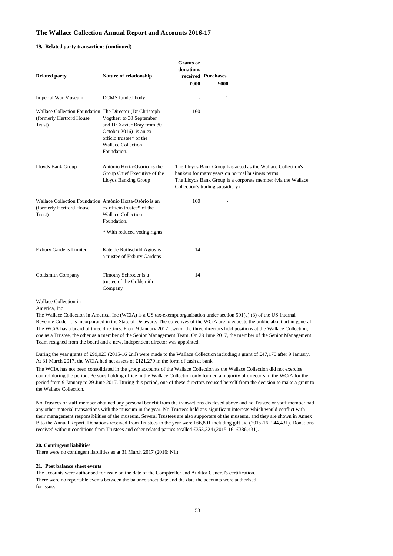#### **19. Related party transactions (continued)**

| <b>Related party</b>                                                                           | Nature of relationship                                                                                                                                  | <b>Grants</b> or<br>donations<br>£000 | received Purchases<br>£000 |                                                                                                                                                                                 |
|------------------------------------------------------------------------------------------------|---------------------------------------------------------------------------------------------------------------------------------------------------------|---------------------------------------|----------------------------|---------------------------------------------------------------------------------------------------------------------------------------------------------------------------------|
| <b>Imperial War Museum</b>                                                                     | DCMS funded body                                                                                                                                        |                                       |                            | 1                                                                                                                                                                               |
| Wallace Collection Foundation The Director (Dr Christoph<br>(formerly Hertford House<br>Trust) | Vogtherr to 30 September<br>and Dr Xavier Bray from 30<br>October 2016) is an ex<br>officio trustee* of the<br><b>Wallace Collection</b><br>Foundation. | 160                                   |                            |                                                                                                                                                                                 |
| Lloyds Bank Group                                                                              | António Horta-Osório is the<br>Group Chief Executive of the<br><b>Lloyds Banking Group</b>                                                              | Collection's trading subsidiary).     |                            | The Lloyds Bank Group has acted as the Wallace Collection's<br>bankers for many years on normal business terms.<br>The Lloyds Bank Group is a corporate member (via the Wallace |
| Wallace Collection Foundation António Horta-Osório is an<br>(formerly Hertford House<br>Trust) | ex officio trustee* of the<br><b>Wallace Collection</b><br>Foundation.                                                                                  | 160                                   |                            |                                                                                                                                                                                 |
|                                                                                                | * With reduced voting rights                                                                                                                            |                                       |                            |                                                                                                                                                                                 |
| <b>Exbury Gardens Limited</b>                                                                  | Kate de Rothschild Agius is<br>a trustee of Exbury Gardens                                                                                              | 14                                    |                            |                                                                                                                                                                                 |
| Goldsmith Company                                                                              | Timothy Schroder is a<br>trustee of the Goldsmith<br>Company                                                                                            | 14                                    |                            |                                                                                                                                                                                 |

Wallace Collection in

America, Inc

 The Wallace Collection in America, Inc (WCiA) is a US tax-exempt organisation under section 501(c) (3) of the US Internal Revenue Code. It is incorporated in the State of Delaware. The objectives of the WCiA are to educate the public about art in general one as a Trustee, the other as a member of the Senior Management Team. On 29 June 2017, the member of the Senior Management The WCiA has a board of three directors. From 9 January 2017, two of the three directors held positions at the Wallace Collection, Team resigned from the board and a new, independent director was appointed.

 During the year grants of £99,023 (2015-16 £nil) were made to the Wallace Collection including a grant of £47,170 after 9 January. At 31 March 2017, the WCiA had net assets of £121,279 in the form of cash at bank.

 The WCiA has not been consolidated in the group accounts of the Wallace Collection as the Wallace Collection did not exercise period from 9 January to 29 June 2017. During this period, one of these directors recused herself from the decision to make a grant to control during the period. Persons holding office in the Wallace Collection only formed a majority of directors in the WCiA for the the Wallace Collection.

 No Trustees or staff member obtained any personal benefit from the transactions disclosed above and no Trustee or staff member had their management responsibilities of the museum. Several Trustees are also supporters of the museum, and they are shown in Annex any other material transactions with the museum in the year. No Trustees held any significant interests which would conflict with B to the Annual Report. Donations received from Trustees in the year were £66,801 including gift aid (2015-16: £44,431). Donations received without conditions from Trustees and other related parties totalled £353,324 (2015-16: £386,431).

#### **20. Contingent liabilities**

There were no contingent liabilities as at 31 March 2017 (2016: Nil).

#### **21. Post balance sheet events**

 There were no reportable events between the balance sheet date and the date the accounts were authorised The accounts were authorised for issue on the date of the Comptroller and Auditor General's certification. for issue.